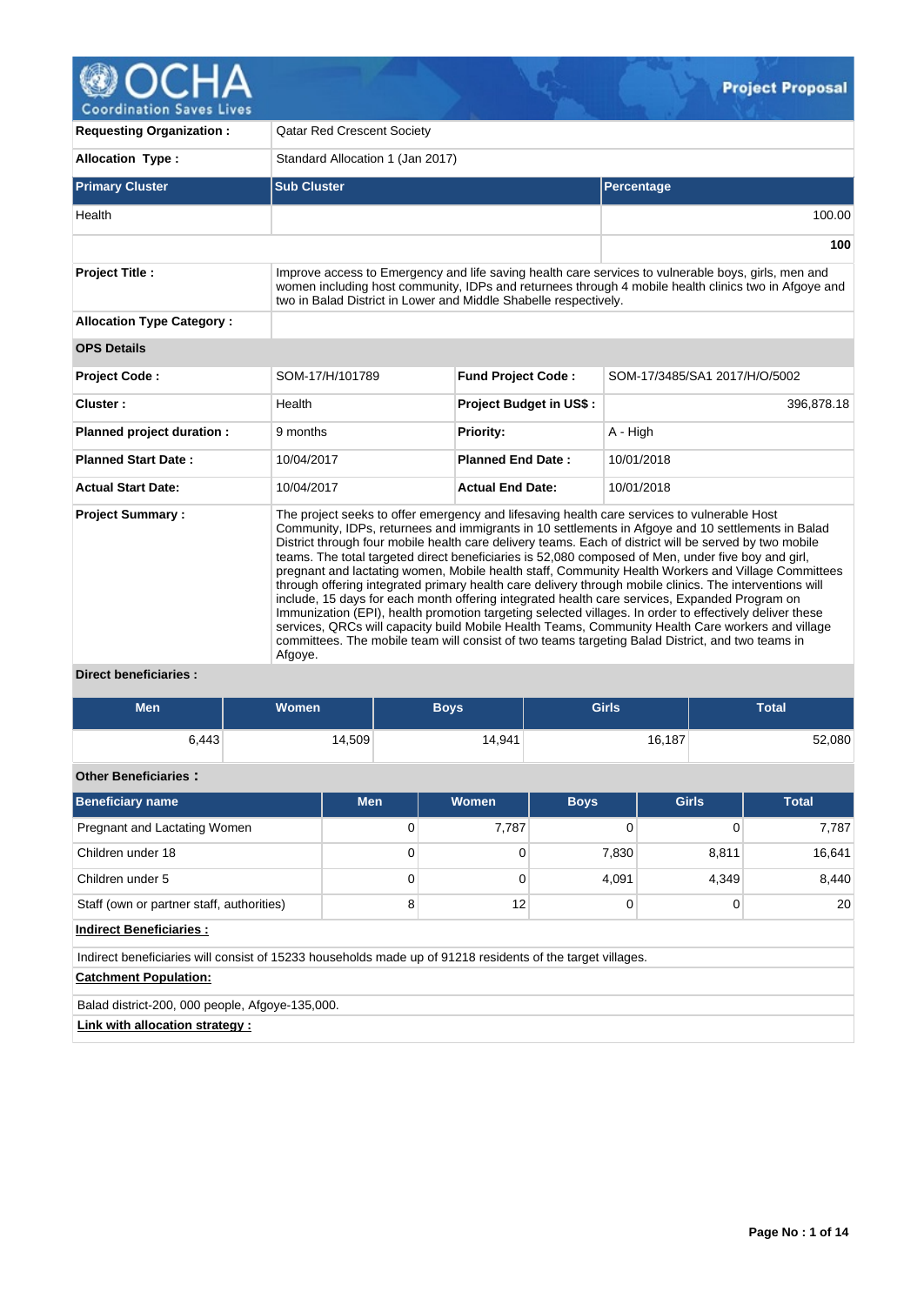

**Requesting Organization :** Qatar Red Crescent Society **Allocation Type :** Standard Allocation 1 (Jan 2017) **Primary Cluster Sub Cluster Sub Cluster** Sub Cluster Sub Cluster Sub Cluster Sub Cluster Sub Cluster Sub Cluster Health 100.00 **100 Project Title :** Improve access to Emergency and life saving health care services to vulnerable boys, girls, men and women including host community, IDPs and returnees through 4 mobile health clinics two in Afgoye and two in Balad District in Lower and Middle Shabelle respectively. **Allocation Type Category : OPS Details Project Code :** SOM-17/H/101789 **Fund Project Code :** SOM-17/3485/SA1 2017/H/O/5002 **Cluster :** 396,878.18 **Planned project duration :** 9 months **Priority:** A - High **Planned Start Date :** 10/04/2017 **Planned End Date :** 10/01/2018 **Actual Start Date:** 10/04/2017 **Actual End Date:** 10/01/2018 **Project Summary :** The project seeks to offer emergency and lifesaving health care services to vulnerable Host Community, IDPs, returnees and immigrants in 10 settlements in Afgoye and 10 settlements in Balad District through four mobile health care delivery teams. Each of district will be served by two mobile teams. The total targeted direct beneficiaries is 52,080 composed of Men, under five boy and girl, pregnant and lactating women, Mobile health staff, Community Health Workers and Village Committees through offering integrated primary health care delivery through mobile clinics. The interventions will include, 15 days for each month offering integrated health care services, Expanded Program on Immunization (EPI), health promotion targeting selected villages. In order to effectively deliver these services, QRCs will capacity build Mobile Health Teams, Community Health Care workers and village

## **Direct beneficiaries :**

Afgoye.

| <b>Men</b>                                                                                                 | Women  |            | <b>Boys</b> | <b>Girls</b> |              | <b>Total</b> |  |
|------------------------------------------------------------------------------------------------------------|--------|------------|-------------|--------------|--------------|--------------|--|
| 6,443                                                                                                      | 14,509 |            | 14,941      |              | 16,187       | 52,080       |  |
| <b>Other Beneficiaries:</b>                                                                                |        |            |             |              |              |              |  |
| <b>Beneficiary name</b>                                                                                    |        | <b>Men</b> | Women       | <b>Boys</b>  | <b>Girls</b> | <b>Total</b> |  |
| Pregnant and Lactating Women                                                                               |        | 0          | 7,787       | $\mathbf 0$  | $\Omega$     | 7,787        |  |
| Children under 18                                                                                          |        | 0          | $\mathbf 0$ | 7,830        | 8,811        | 16,641       |  |
| Children under 5                                                                                           |        | 0          | $\Omega$    | 4,091        | 4,349        | 8,440        |  |
| Staff (own or partner staff, authorities)                                                                  |        | 8          | 12          | $\mathbf 0$  | 0            | 20           |  |
| <b>Indirect Beneficiaries:</b>                                                                             |        |            |             |              |              |              |  |
| Indirect beneficiaries will consist of 15233 households made up of 91218 residents of the target villages. |        |            |             |              |              |              |  |
| <b>Catchment Population:</b>                                                                               |        |            |             |              |              |              |  |
| Balad district-200, 000 people, Afgoye-135,000.                                                            |        |            |             |              |              |              |  |

committees. The mobile team will consist of two teams targeting Balad District, and two teams in

**Link with allocation strategy :**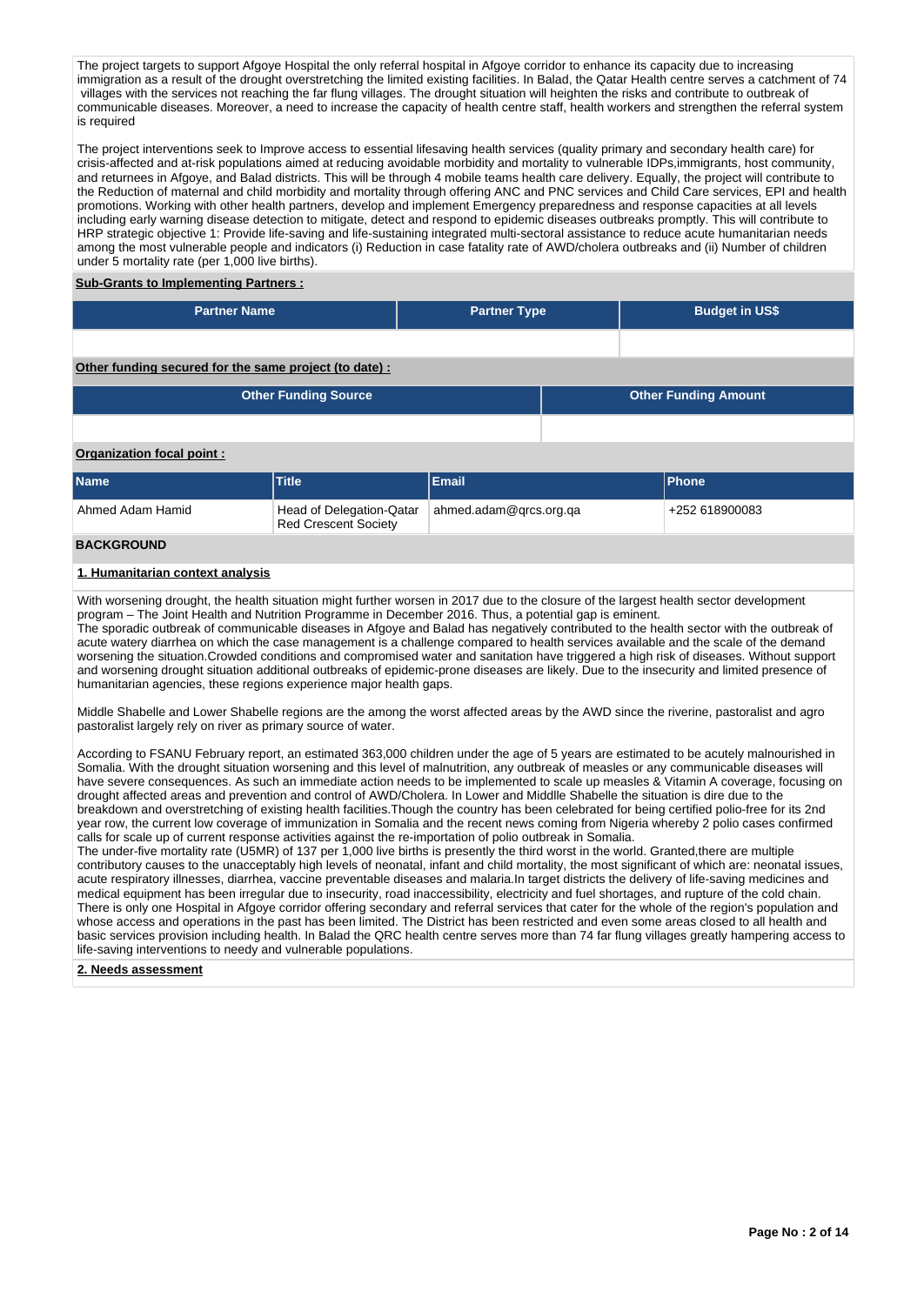The project targets to support Afgoye Hospital the only referral hospital in Afgoye corridor to enhance its capacity due to increasing immigration as a result of the drought overstretching the limited existing facilities. In Balad, the Qatar Health centre serves a catchment of 74 villages with the services not reaching the far flung villages. The drought situation will heighten the risks and contribute to outbreak of communicable diseases. Moreover, a need to increase the capacity of health centre staff, health workers and strengthen the referral system is required

The project interventions seek to Improve access to essential lifesaving health services (quality primary and secondary health care) for crisis-affected and at-risk populations aimed at reducing avoidable morbidity and mortality to vulnerable IDPs,immigrants, host community, and returnees in Afgoye, and Balad districts. This will be through 4 mobile teams health care delivery. Equally, the project will contribute to the Reduction of maternal and child morbidity and mortality through offering ANC and PNC services and Child Care services, EPI and health promotions. Working with other health partners, develop and implement Emergency preparedness and response capacities at all levels including early warning disease detection to mitigate, detect and respond to epidemic diseases outbreaks promptly. This will contribute to HRP strategic objective 1: Provide life-saving and life-sustaining integrated multi-sectoral assistance to reduce acute humanitarian needs among the most vulnerable people and indicators (i) Reduction in case fatality rate of AWD/cholera outbreaks and (ii) Number of children under 5 mortality rate (per 1,000 live births).

## **Sub-Grants to Implementing Partners :**

| <b>Partner Name</b> | <b>Partner Type</b> | <b>Budget in US\$</b> |
|---------------------|---------------------|-----------------------|
|                     |                     |                       |

#### **Other funding secured for the same project (to date) :**

| <b>Other Funding Source</b> | <b>Other Funding Amount</b> |
|-----------------------------|-----------------------------|
|                             |                             |

### **Organization focal point :**

| <b>Name</b>       | Title                       | Email                                             | <b>Phone</b>   |
|-------------------|-----------------------------|---------------------------------------------------|----------------|
| Ahmed Adam Hamid  | <b>Red Crescent Society</b> | Head of Delegation-Qatar   ahmed.adam@grcs.org.ga | +252 618900083 |
| <b>BACKGROUND</b> |                             |                                                   |                |

#### **1. Humanitarian context analysis**

With worsening drought, the health situation might further worsen in 2017 due to the closure of the largest health sector development program – The Joint Health and Nutrition Programme in December 2016. Thus, a potential gap is eminent. The sporadic outbreak of communicable diseases in Afgoye and Balad has negatively contributed to the health sector with the outbreak of acute watery diarrhea on which the case management is a challenge compared to health services available and the scale of the demand worsening the situation.Crowded conditions and compromised water and sanitation have triggered a high risk of diseases. Without support and worsening drought situation additional outbreaks of epidemic-prone diseases are likely. Due to the insecurity and limited presence of humanitarian agencies, these regions experience major health gaps.

Middle Shabelle and Lower Shabelle regions are the among the worst affected areas by the AWD since the riverine, pastoralist and agro pastoralist largely rely on river as primary source of water.

According to FSANU February report, an estimated 363,000 children under the age of 5 years are estimated to be acutely malnourished in Somalia. With the drought situation worsening and this level of malnutrition, any outbreak of measles or any communicable diseases will have severe consequences. As such an immediate action needs to be implemented to scale up measles & Vitamin A coverage, focusing on drought affected areas and prevention and control of AWD/Cholera. In Lower and Middlle Shabelle the situation is dire due to the breakdown and overstretching of existing health facilities.Though the country has been celebrated for being certified polio-free for its 2nd year row, the current low coverage of immunization in Somalia and the recent news coming from Nigeria whereby 2 polio cases confirmed calls for scale up of current response activities against the re-importation of polio outbreak in Somalia.

The under-five mortality rate (U5MR) of 137 per 1,000 live births is presently the third worst in the world. Granted,there are multiple contributory causes to the unacceptably high levels of neonatal, infant and child mortality, the most significant of which are: neonatal issues, acute respiratory illnesses, diarrhea, vaccine preventable diseases and malaria.In target districts the delivery of life-saving medicines and medical equipment has been irregular due to insecurity, road inaccessibility, electricity and fuel shortages, and rupture of the cold chain. There is only one Hospital in Afgoye corridor offering secondary and referral services that cater for the whole of the region's population and whose access and operations in the past has been limited. The District has been restricted and even some areas closed to all health and basic services provision including health. In Balad the QRC health centre serves more than 74 far flung villages greatly hampering access to life-saving interventions to needy and vulnerable populations.

#### **2. Needs assessment**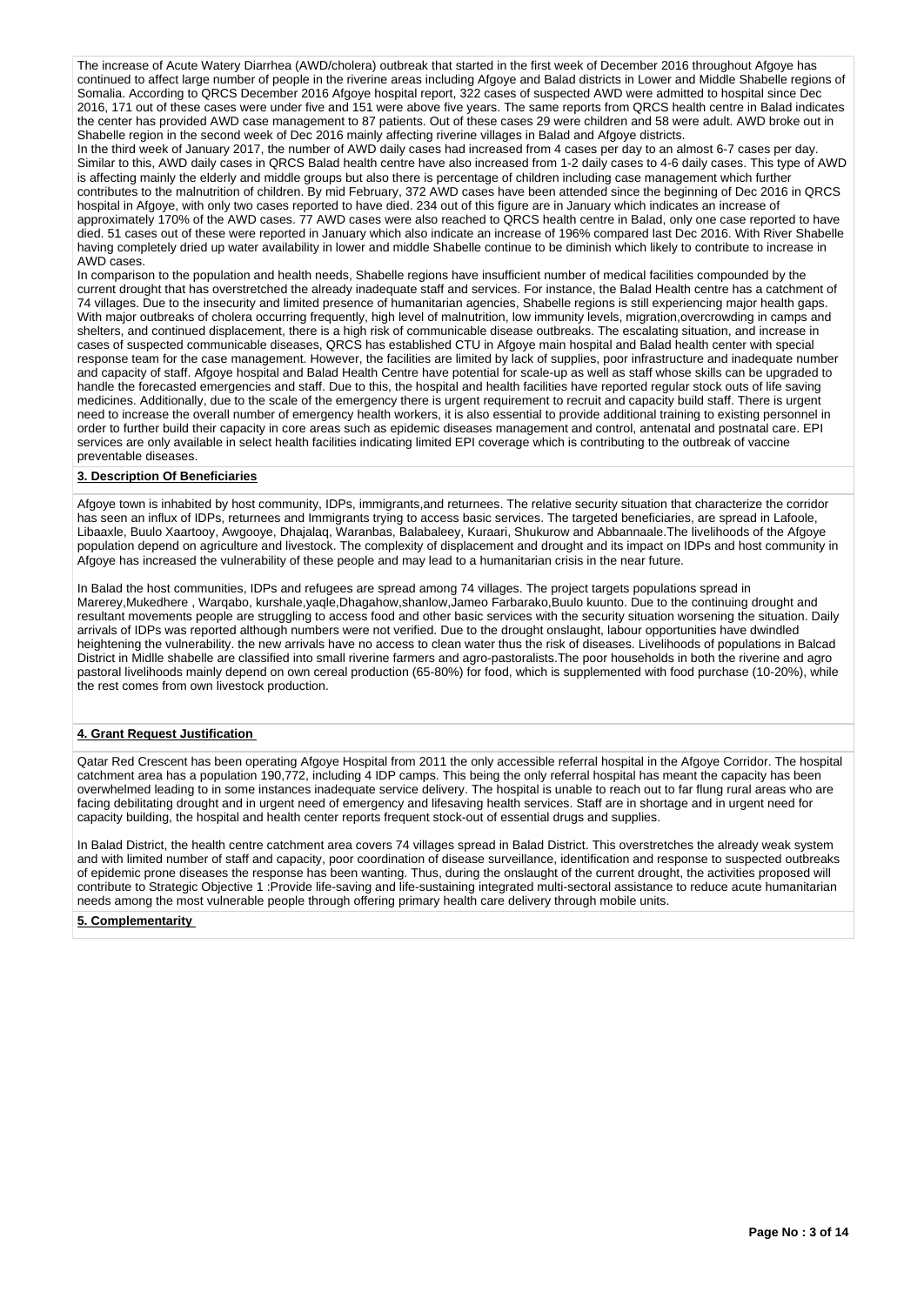The increase of Acute Watery Diarrhea (AWD/cholera) outbreak that started in the first week of December 2016 throughout Afgoye has continued to affect large number of people in the riverine areas including Afgoye and Balad districts in Lower and Middle Shabelle regions of Somalia. According to QRCS December 2016 Afgoye hospital report, 322 cases of suspected AWD were admitted to hospital since Dec 2016, 171 out of these cases were under five and 151 were above five years. The same reports from QRCS health centre in Balad indicates the center has provided AWD case management to 87 patients. Out of these cases 29 were children and 58 were adult. AWD broke out in Shabelle region in the second week of Dec 2016 mainly affecting riverine villages in Balad and Afgove districts.

In the third week of January 2017, the number of AWD daily cases had increased from 4 cases per day to an almost 6-7 cases per day. Similar to this, AWD daily cases in QRCS Balad health centre have also increased from 1-2 daily cases to 4-6 daily cases. This type of AWD is affecting mainly the elderly and middle groups but also there is percentage of children including case management which further contributes to the malnutrition of children. By mid February, 372 AWD cases have been attended since the beginning of Dec 2016 in QRCS hospital in Afgoye, with only two cases reported to have died. 234 out of this figure are in January which indicates an increase of approximately 170% of the AWD cases. 77 AWD cases were also reached to QRCS health centre in Balad, only one case reported to have died. 51 cases out of these were reported in January which also indicate an increase of 196% compared last Dec 2016. With River Shabelle having completely dried up water availability in lower and middle Shabelle continue to be diminish which likely to contribute to increase in AWD cases.

In comparison to the population and health needs, Shabelle regions have insufficient number of medical facilities compounded by the current drought that has overstretched the already inadequate staff and services. For instance, the Balad Health centre has a catchment of 74 villages. Due to the insecurity and limited presence of humanitarian agencies, Shabelle regions is still experiencing major health gaps. With major outbreaks of cholera occurring frequently, high level of malnutrition, low immunity levels, migration,overcrowding in camps and shelters, and continued displacement, there is a high risk of communicable disease outbreaks. The escalating situation, and increase in cases of suspected communicable diseases, QRCS has established CTU in Afgoye main hospital and Balad health center with special response team for the case management. However, the facilities are limited by lack of supplies, poor infrastructure and inadequate number and capacity of staff. Afgoye hospital and Balad Health Centre have potential for scale-up as well as staff whose skills can be upgraded to handle the forecasted emergencies and staff. Due to this, the hospital and health facilities have reported regular stock outs of life saving medicines. Additionally, due to the scale of the emergency there is urgent requirement to recruit and capacity build staff. There is urgent need to increase the overall number of emergency health workers, it is also essential to provide additional training to existing personnel in order to further build their capacity in core areas such as epidemic diseases management and control, antenatal and postnatal care. EPI services are only available in select health facilities indicating limited EPI coverage which is contributing to the outbreak of vaccine preventable diseases.

### **3. Description Of Beneficiaries**

Afgoye town is inhabited by host community, IDPs, immigrants,and returnees. The relative security situation that characterize the corridor has seen an influx of IDPs, returnees and Immigrants trying to access basic services. The targeted beneficiaries, are spread in Lafoole, Libaaxle, Buulo Xaartooy, Awgooye, Dhajalaq, Waranbas, Balabaleey, Kuraari, Shukurow and Abbannaale.The livelihoods of the Afgoye population depend on agriculture and livestock. The complexity of displacement and drought and its impact on IDPs and host community in Afgoye has increased the vulnerability of these people and may lead to a humanitarian crisis in the near future.

In Balad the host communities, IDPs and refugees are spread among 74 villages. The project targets populations spread in Marerey,Mukedhere , Warqabo, kurshale,yaqle,Dhagahow,shanlow,Jameo Farbarako,Buulo kuunto. Due to the continuing drought and resultant movements people are struggling to access food and other basic services with the security situation worsening the situation. Daily arrivals of IDPs was reported although numbers were not verified. Due to the drought onslaught, labour opportunities have dwindled heightening the vulnerability. the new arrivals have no access to clean water thus the risk of diseases. Livelihoods of populations in Balcad District in Midlle shabelle are classified into small riverine farmers and agro-pastoralists.The poor households in both the riverine and agro pastoral livelihoods mainly depend on own cereal production (65-80%) for food, which is supplemented with food purchase (10-20%), while the rest comes from own livestock production.

### **4. Grant Request Justification**

Qatar Red Crescent has been operating Afgoye Hospital from 2011 the only accessible referral hospital in the Afgoye Corridor. The hospital catchment area has a population 190,772, including 4 IDP camps. This being the only referral hospital has meant the capacity has been overwhelmed leading to in some instances inadequate service delivery. The hospital is unable to reach out to far flung rural areas who are facing debilitating drought and in urgent need of emergency and lifesaving health services. Staff are in shortage and in urgent need for capacity building, the hospital and health center reports frequent stock-out of essential drugs and supplies.

In Balad District, the health centre catchment area covers 74 villages spread in Balad District. This overstretches the already weak system and with limited number of staff and capacity, poor coordination of disease surveillance, identification and response to suspected outbreaks of epidemic prone diseases the response has been wanting. Thus, during the onslaught of the current drought, the activities proposed will contribute to Strategic Objective 1 :Provide life-saving and life-sustaining integrated multi-sectoral assistance to reduce acute humanitarian needs among the most vulnerable people through offering primary health care delivery through mobile units.

### **5. Complementarity**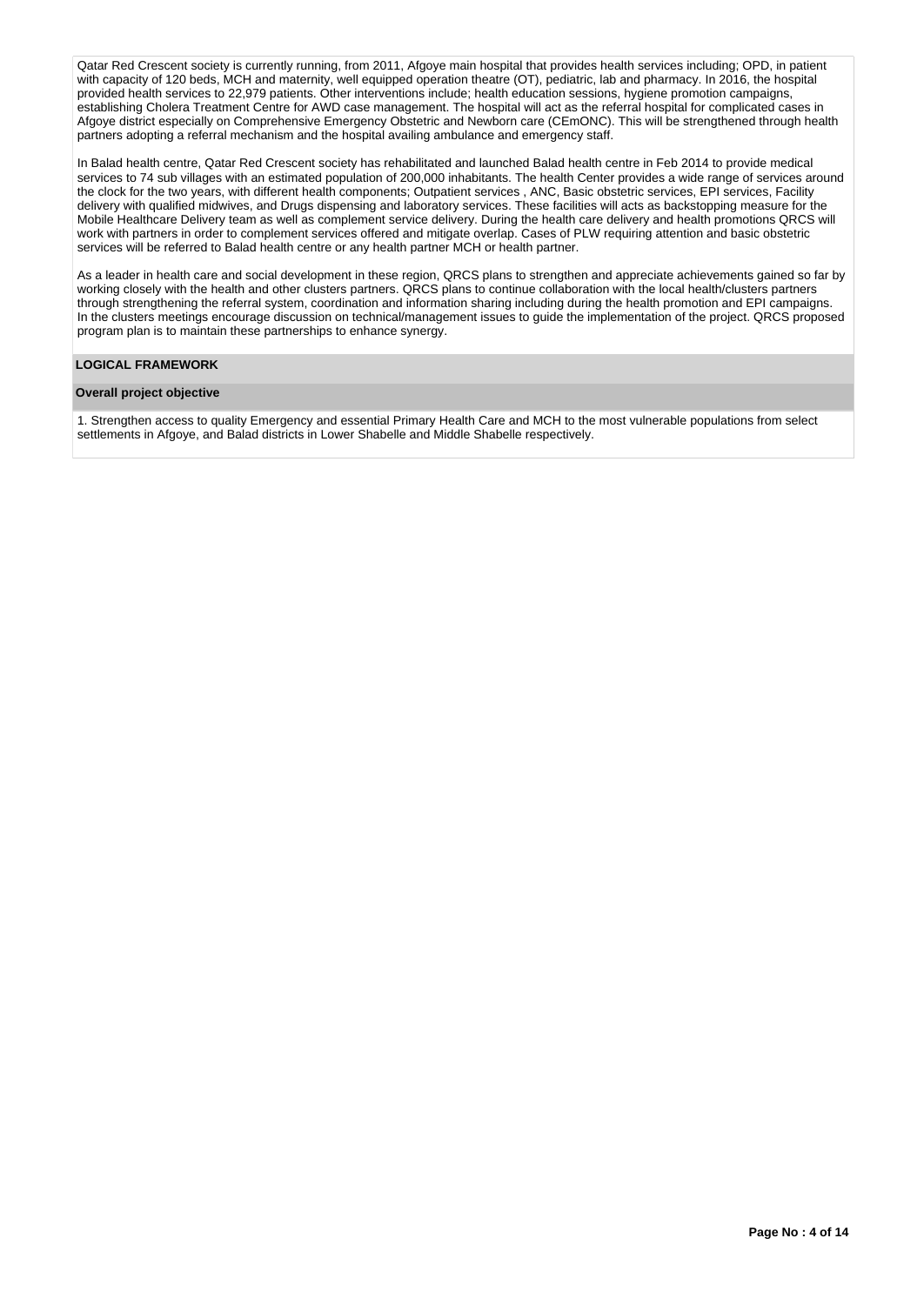Qatar Red Crescent society is currently running, from 2011, Afgoye main hospital that provides health services including; OPD, in patient with capacity of 120 beds, MCH and maternity, well equipped operation theatre (OT), pediatric, lab and pharmacy. In 2016, the hospital provided health services to 22,979 patients. Other interventions include; health education sessions, hygiene promotion campaigns, establishing Cholera Treatment Centre for AWD case management. The hospital will act as the referral hospital for complicated cases in Afgoye district especially on Comprehensive Emergency Obstetric and Newborn care (CEmONC). This will be strengthened through health partners adopting a referral mechanism and the hospital availing ambulance and emergency staff.

In Balad health centre, Qatar Red Crescent society has rehabilitated and launched Balad health centre in Feb 2014 to provide medical services to 74 sub villages with an estimated population of 200,000 inhabitants. The health Center provides a wide range of services around the clock for the two years, with different health components; Outpatient services , ANC, Basic obstetric services, EPI services, Facility delivery with qualified midwives, and Drugs dispensing and laboratory services. These facilities will acts as backstopping measure for the Mobile Healthcare Delivery team as well as complement service delivery. During the health care delivery and health promotions QRCS will work with partners in order to complement services offered and mitigate overlap. Cases of PLW requiring attention and basic obstetric services will be referred to Balad health centre or any health partner MCH or health partner.

As a leader in health care and social development in these region, QRCS plans to strengthen and appreciate achievements gained so far by working closely with the health and other clusters partners. QRCS plans to continue collaboration with the local health/clusters partners through strengthening the referral system, coordination and information sharing including during the health promotion and EPI campaigns. In the clusters meetings encourage discussion on technical/management issues to guide the implementation of the project. QRCS proposed program plan is to maintain these partnerships to enhance synergy.

### **LOGICAL FRAMEWORK**

### **Overall project objective**

1. Strengthen access to quality Emergency and essential Primary Health Care and MCH to the most vulnerable populations from select settlements in Afgoye, and Balad districts in Lower Shabelle and Middle Shabelle respectively.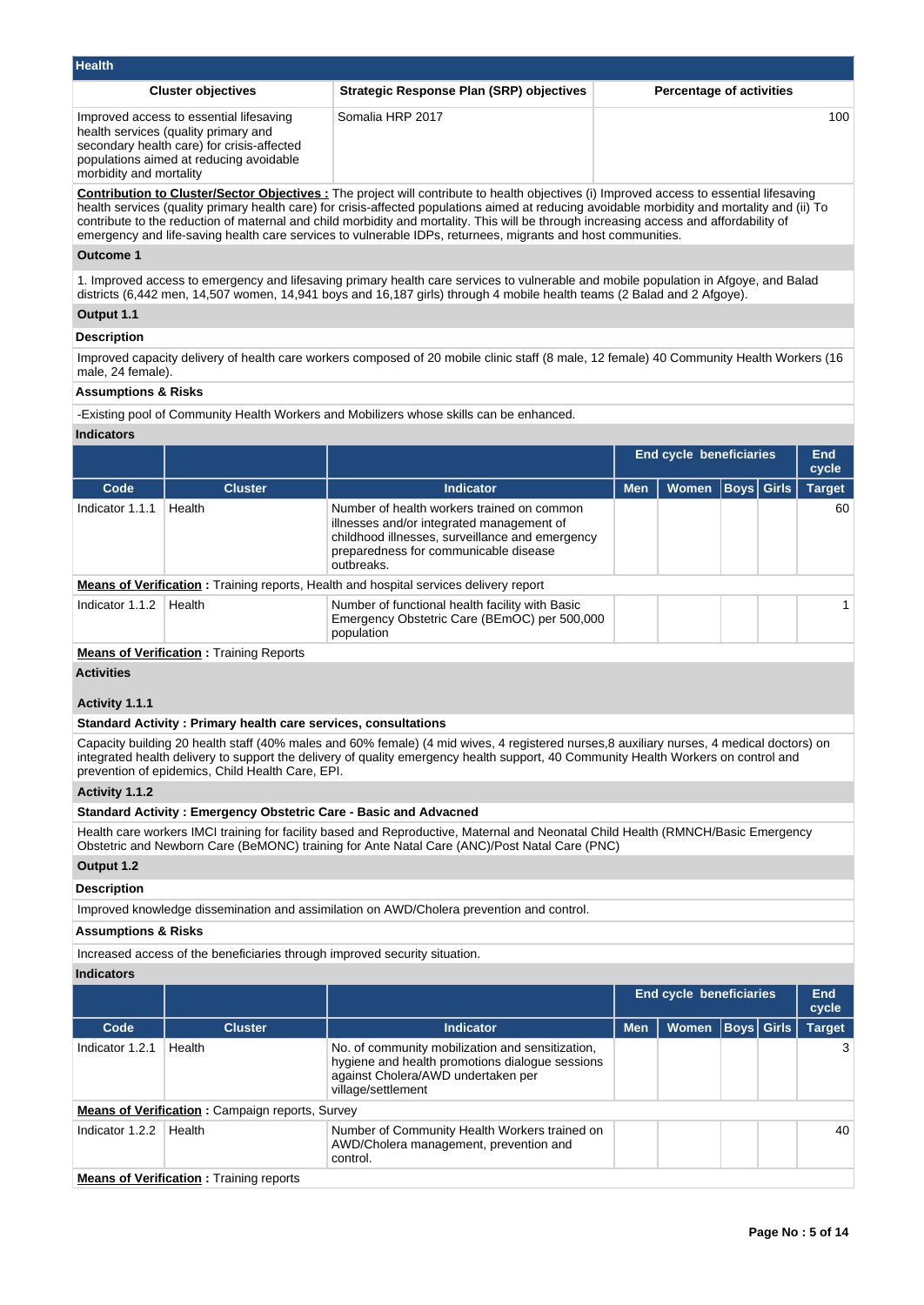| <b>Health</b>                                                                                                                                                                                       |                                                                                                                                        |                                 |
|-----------------------------------------------------------------------------------------------------------------------------------------------------------------------------------------------------|----------------------------------------------------------------------------------------------------------------------------------------|---------------------------------|
| <b>Cluster objectives</b>                                                                                                                                                                           | <b>Strategic Response Plan (SRP) objectives</b>                                                                                        | <b>Percentage of activities</b> |
| Improved access to essential lifesaving<br>health services (quality primary and<br>secondary health care) for crisis-affected<br>populations aimed at reducing avoidable<br>morbidity and mortality | Somalia HRP 2017                                                                                                                       | 100 <sup>°</sup>                |
|                                                                                                                                                                                                     | Contribution to Cluster/Sector Objectives The project will contribute to bealth objectives (i) Improved access to essential lifesaving |                                 |

**ute to health objectives (i) Impro** health services (quality primary health care) for crisis-affected populations aimed at reducing avoidable morbidity and mortality and (ii) To contribute to the reduction of maternal and child morbidity and mortality. This will be through increasing access and affordability of emergency and life-saving health care services to vulnerable IDPs, returnees, migrants and host communities.

### **Outcome 1**

1. Improved access to emergency and lifesaving primary health care services to vulnerable and mobile population in Afgoye, and Balad districts (6,442 men, 14,507 women, 14,941 boys and 16,187 girls) through 4 mobile health teams (2 Balad and 2 Afgoye).

## **Output 1.1**

### **Description**

Improved capacity delivery of health care workers composed of 20 mobile clinic staff (8 male, 12 female) 40 Community Health Workers (16 male, 24 female).

### **Assumptions & Risks**

-Existing pool of Community Health Workers and Mobilizers whose skills can be enhanced.

### **Indicators**

|                 |                                                |                                                                                                                                                                                                   |            | <b>End cycle beneficiaries</b> |                   | End<br>cycle  |
|-----------------|------------------------------------------------|---------------------------------------------------------------------------------------------------------------------------------------------------------------------------------------------------|------------|--------------------------------|-------------------|---------------|
| Code            | <b>Cluster</b>                                 | Indicator                                                                                                                                                                                         | <b>Men</b> | <b>Women</b>                   | <b>Boys Girls</b> | <b>Target</b> |
| Indicator 1.1.1 | Health                                         | Number of health workers trained on common<br>illnesses and/or integrated management of<br>childhood illnesses, surveillance and emergency<br>preparedness for communicable disease<br>outbreaks. |            |                                |                   | 60            |
|                 |                                                | <b>Means of Verification:</b> Training reports, Health and hospital services delivery report                                                                                                      |            |                                |                   |               |
| Indicator 1.1.2 | Health                                         | Number of functional health facility with Basic<br>Emergency Obstetric Care (BEmOC) per 500,000<br>population                                                                                     |            |                                |                   |               |
|                 | <b>Means of Verification: Training Reports</b> |                                                                                                                                                                                                   |            |                                |                   |               |

**Activities**

## **Activity 1.1.1**

### **Standard Activity : Primary health care services, consultations**

Capacity building 20 health staff (40% males and 60% female) (4 mid wives, 4 registered nurses,8 auxiliary nurses, 4 medical doctors) on integrated health delivery to support the delivery of quality emergency health support, 40 Community Health Workers on control and prevention of epidemics, Child Health Care, EPI.

## **Activity 1.1.2**

## **Standard Activity : Emergency Obstetric Care - Basic and Advacned**

Health care workers IMCI training for facility based and Reproductive, Maternal and Neonatal Child Health (RMNCH/Basic Emergency Obstetric and Newborn Care (BeMONC) training for Ante Natal Care (ANC)/Post Natal Care (PNC)

### **Output 1.2**

### **Description**

Improved knowledge dissemination and assimilation on AWD/Cholera prevention and control.

## **Assumptions & Risks**

Increased access of the beneficiaries through improved security situation.

**Indicators**

| iliulvulvi J    |                                                        |                                                                                                                                                                 |            |                                |             |                     |
|-----------------|--------------------------------------------------------|-----------------------------------------------------------------------------------------------------------------------------------------------------------------|------------|--------------------------------|-------------|---------------------|
|                 |                                                        |                                                                                                                                                                 |            | <b>End cycle beneficiaries</b> |             | <b>End</b><br>cycle |
| Code            | <b>Cluster</b>                                         | Indicator                                                                                                                                                       | <b>Men</b> | <b>Women</b>                   | Boys  Girls | <b>Target</b>       |
| Indicator 1.2.1 | Health                                                 | No. of community mobilization and sensitization,<br>hygiene and health promotions dialogue sessions<br>against Cholera/AWD undertaken per<br>village/settlement |            |                                |             |                     |
|                 | <b>Means of Verification:</b> Campaign reports, Survey |                                                                                                                                                                 |            |                                |             |                     |
| Indicator 1.2.2 | Health                                                 | Number of Community Health Workers trained on<br>AWD/Cholera management, prevention and<br>control.                                                             |            |                                |             | 40                  |
|                 | <b>Means of Verification:</b> Training reports         |                                                                                                                                                                 |            |                                |             |                     |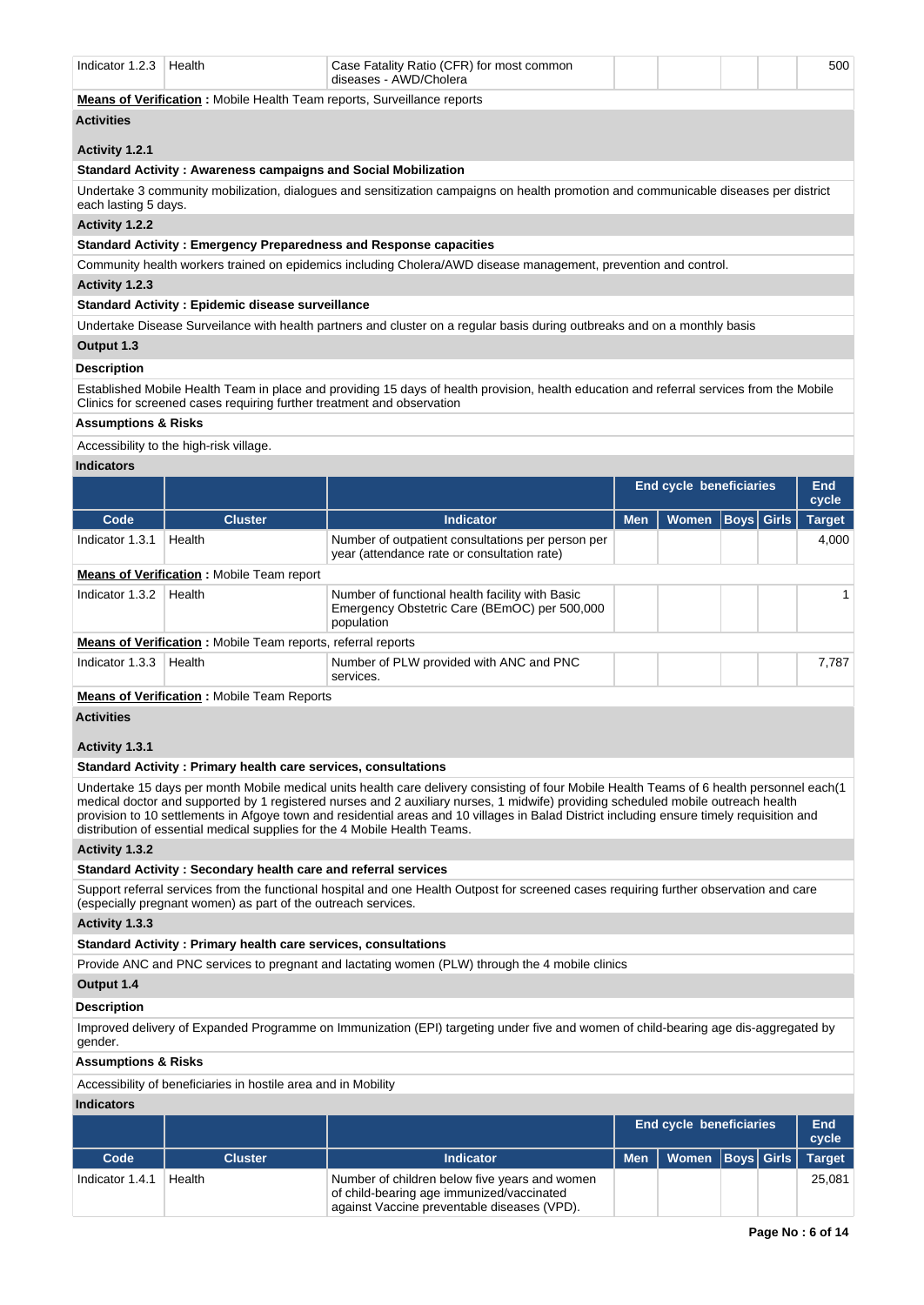| Indicator 1.2.3                | Health                                                                         | Case Fatality Ratio (CFR) for most common                                                                                                 |            |                                |                   | 500           |
|--------------------------------|--------------------------------------------------------------------------------|-------------------------------------------------------------------------------------------------------------------------------------------|------------|--------------------------------|-------------------|---------------|
|                                |                                                                                | diseases - AWD/Cholera                                                                                                                    |            |                                |                   |               |
|                                | <b>Means of Verification:</b> Mobile Health Team reports, Surveillance reports |                                                                                                                                           |            |                                |                   |               |
| <b>Activities</b>              |                                                                                |                                                                                                                                           |            |                                |                   |               |
| Activity 1.2.1                 |                                                                                |                                                                                                                                           |            |                                |                   |               |
|                                | <b>Standard Activity: Awareness campaigns and Social Mobilization</b>          |                                                                                                                                           |            |                                |                   |               |
| each lasting 5 days.           |                                                                                | Undertake 3 community mobilization, dialogues and sensitization campaigns on health promotion and communicable diseases per district      |            |                                |                   |               |
| Activity 1.2.2                 |                                                                                |                                                                                                                                           |            |                                |                   |               |
|                                |                                                                                | <b>Standard Activity: Emergency Preparedness and Response capacities</b>                                                                  |            |                                |                   |               |
|                                |                                                                                | Community health workers trained on epidemics including Cholera/AWD disease management, prevention and control.                           |            |                                |                   |               |
| Activity 1.2.3                 |                                                                                |                                                                                                                                           |            |                                |                   |               |
|                                | <b>Standard Activity: Epidemic disease surveillance</b>                        |                                                                                                                                           |            |                                |                   |               |
|                                |                                                                                | Undertake Disease Surveilance with health partners and cluster on a regular basis during outbreaks and on a monthly basis                 |            |                                |                   |               |
| Output 1.3                     |                                                                                |                                                                                                                                           |            |                                |                   |               |
| <b>Description</b>             |                                                                                |                                                                                                                                           |            |                                |                   |               |
|                                | Clinics for screened cases requiring further treatment and observation         | Established Mobile Health Team in place and providing 15 days of health provision, health education and referral services from the Mobile |            |                                |                   |               |
| <b>Assumptions &amp; Risks</b> |                                                                                |                                                                                                                                           |            |                                |                   |               |
|                                | Accessibility to the high-risk village.                                        |                                                                                                                                           |            |                                |                   |               |
| <b>Indicators</b>              |                                                                                |                                                                                                                                           |            |                                |                   |               |
|                                |                                                                                |                                                                                                                                           |            | <b>End cycle beneficiaries</b> |                   | End<br>cycle  |
| Code                           | <b>Cluster</b>                                                                 | <b>Indicator</b>                                                                                                                          | <b>Men</b> | <b>Women</b>                   | <b>Boys</b> Girls | <b>Target</b> |
| Indicator 1.3.1                | Health                                                                         | Number of outpatient consultations per person per<br>year (attendance rate or consultation rate)                                          |            |                                |                   | 4,000         |
|                                | <b>Means of Verification: Mobile Team report</b>                               |                                                                                                                                           |            |                                |                   |               |
| Indicator 1.3.2                | Health                                                                         | Number of functional health facility with Basic<br>Emergency Obstetric Care (BEmOC) per 500,000<br>population                             |            |                                |                   | 1             |
|                                | <b>Means of Verification:</b> Mobile Team reports, referral reports            |                                                                                                                                           |            |                                |                   |               |
| Indicator 1.3.3                |                                                                                |                                                                                                                                           |            |                                |                   |               |
|                                | Health                                                                         | Number of PLW provided with ANC and PNC<br>services.                                                                                      |            |                                |                   | 7,787         |
|                                | <b>Means of Verification:</b> Mobile Team Reports                              |                                                                                                                                           |            |                                |                   |               |
| <b>Activities</b>              |                                                                                |                                                                                                                                           |            |                                |                   |               |
| Activity 1.3.1                 |                                                                                |                                                                                                                                           |            |                                |                   |               |

Undertake 15 days per month Mobile medical units health care delivery consisting of four Mobile Health Teams of 6 health personnel each(1

medical doctor and supported by 1 registered nurses and 2 auxiliary nurses, 1 midwife) providing scheduled mobile outreach health provision to 10 settlements in Afgoye town and residential areas and 10 villages in Balad District including ensure timely requisition and distribution of essential medical supplies for the 4 Mobile Health Teams.

## **Activity 1.3.2**

## **Standard Activity : Secondary health care and referral services**

Support referral services from the functional hospital and one Health Outpost for screened cases requiring further observation and care (especially pregnant women) as part of the outreach services.

## **Activity 1.3.3**

## **Standard Activity : Primary health care services, consultations**

Provide ANC and PNC services to pregnant and lactating women (PLW) through the 4 mobile clinics

### **Output 1.4**

## **Description**

Improved delivery of Expanded Programme on Immunization (EPI) targeting under five and women of child-bearing age dis-aggregated by gender.

## **Assumptions & Risks**

Accessibility of beneficiaries in hostile area and in Mobility

## **Indicators**

|                 |                |                                                                                                                                           |     | <b>End cycle beneficiaries</b> |  | End<br>cycle |
|-----------------|----------------|-------------------------------------------------------------------------------------------------------------------------------------------|-----|--------------------------------|--|--------------|
| Code            | <b>Cluster</b> | <b>Indicator</b>                                                                                                                          | Men | Women  Boys   Girls   Target   |  |              |
| Indicator 1.4.1 | Health         | Number of children below five years and women<br>of child-bearing age immunized/vaccinated<br>against Vaccine preventable diseases (VPD). |     |                                |  | 25,081       |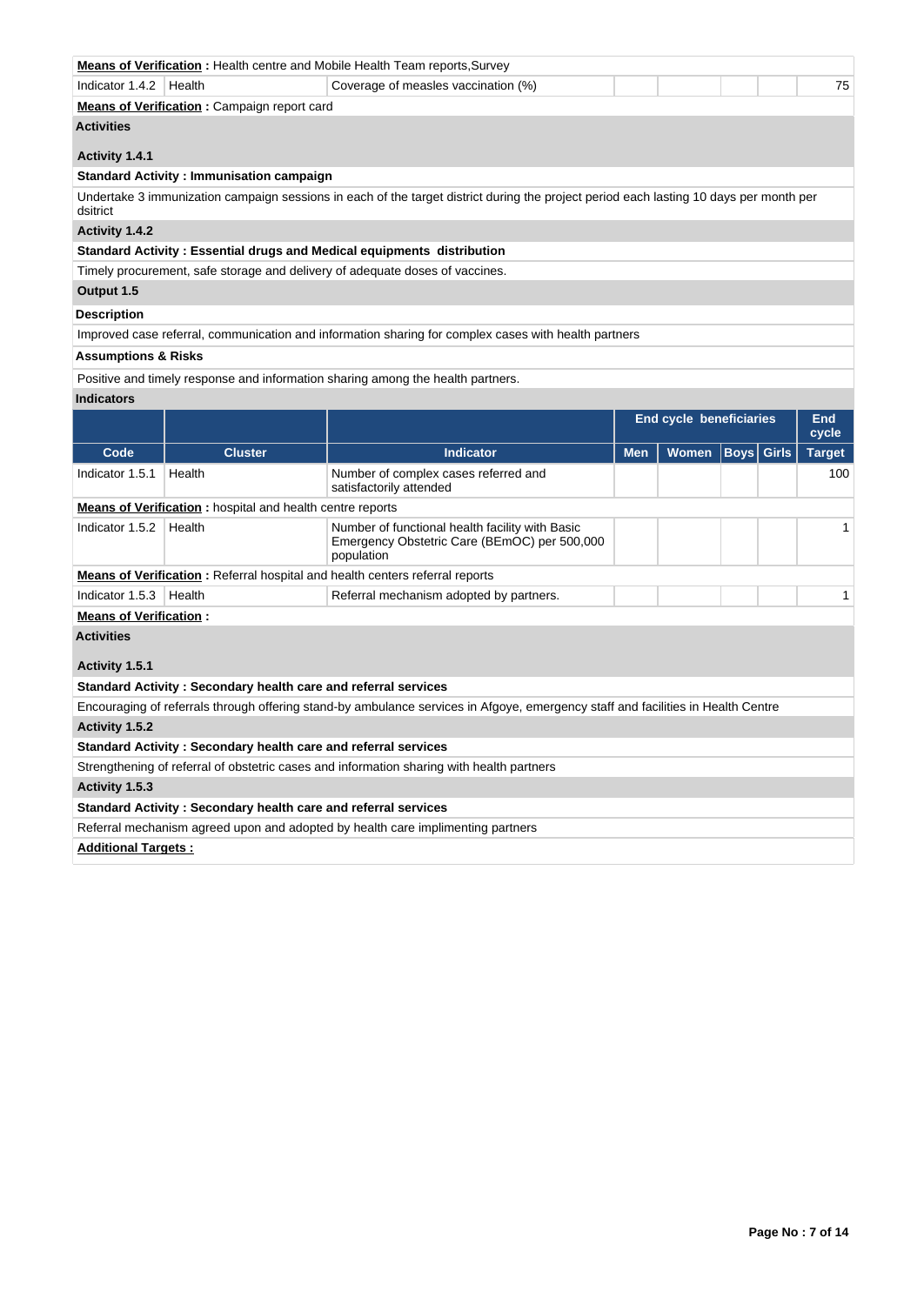|                                |                                                                  | <b>Means of Verification</b> : Health centre and Mobile Health Team reports, Survey                                                    |            |                                |             |              |               |  |
|--------------------------------|------------------------------------------------------------------|----------------------------------------------------------------------------------------------------------------------------------------|------------|--------------------------------|-------------|--------------|---------------|--|
| Indicator 1.4.2                | Health                                                           | Coverage of measles vaccination (%)                                                                                                    |            |                                |             |              | 75            |  |
|                                | Means of Verification: Campaign report card                      |                                                                                                                                        |            |                                |             |              |               |  |
| <b>Activities</b>              |                                                                  |                                                                                                                                        |            |                                |             |              |               |  |
| Activity 1.4.1                 |                                                                  |                                                                                                                                        |            |                                |             |              |               |  |
|                                | <b>Standard Activity: Immunisation campaign</b>                  |                                                                                                                                        |            |                                |             |              |               |  |
| dsitrict                       |                                                                  | Undertake 3 immunization campaign sessions in each of the target district during the project period each lasting 10 days per month per |            |                                |             |              |               |  |
| Activity 1.4.2                 |                                                                  |                                                                                                                                        |            |                                |             |              |               |  |
|                                |                                                                  | Standard Activity : Essential drugs and Medical equipments distribution                                                                |            |                                |             |              |               |  |
|                                |                                                                  | Timely procurement, safe storage and delivery of adequate doses of vaccines.                                                           |            |                                |             |              |               |  |
| Output 1.5                     |                                                                  |                                                                                                                                        |            |                                |             |              |               |  |
| <b>Description</b>             |                                                                  |                                                                                                                                        |            |                                |             |              |               |  |
|                                |                                                                  | Improved case referral, communication and information sharing for complex cases with health partners                                   |            |                                |             |              |               |  |
| <b>Assumptions &amp; Risks</b> |                                                                  |                                                                                                                                        |            |                                |             |              |               |  |
|                                |                                                                  | Positive and timely response and information sharing among the health partners.                                                        |            |                                |             |              |               |  |
| <b>Indicators</b>              |                                                                  |                                                                                                                                        |            |                                |             |              |               |  |
|                                |                                                                  |                                                                                                                                        |            | <b>End cycle beneficiaries</b> |             |              | End           |  |
|                                |                                                                  |                                                                                                                                        |            |                                |             |              | cycle         |  |
|                                |                                                                  |                                                                                                                                        |            |                                |             | <b>Girls</b> | <b>Target</b> |  |
| Code                           | <b>Cluster</b>                                                   | <b>Indicator</b>                                                                                                                       | <b>Men</b> | Women                          | <b>Boys</b> |              |               |  |
| Indicator 1.5.1                | Health                                                           | Number of complex cases referred and<br>satisfactorily attended                                                                        |            |                                |             |              | 100           |  |
|                                | <b>Means of Verification:</b> hospital and health centre reports |                                                                                                                                        |            |                                |             |              |               |  |
| Indicator 1.5.2                | Health                                                           | Number of functional health facility with Basic<br>Emergency Obstetric Care (BEmOC) per 500,000<br>population                          |            |                                |             |              | $\mathbf{1}$  |  |
|                                |                                                                  | <b>Means of Verification</b> : Referral hospital and health centers referral reports                                                   |            |                                |             |              |               |  |
| Indicator 1.5.3                | Health                                                           | Referral mechanism adopted by partners.                                                                                                |            |                                |             |              | $\mathbf{1}$  |  |
| <b>Means of Verification:</b>  |                                                                  |                                                                                                                                        |            |                                |             |              |               |  |
| <b>Activities</b>              |                                                                  |                                                                                                                                        |            |                                |             |              |               |  |
|                                |                                                                  |                                                                                                                                        |            |                                |             |              |               |  |
| Activity 1.5.1                 |                                                                  |                                                                                                                                        |            |                                |             |              |               |  |
|                                | Standard Activity: Secondary health care and referral services   |                                                                                                                                        |            |                                |             |              |               |  |
| <b>Activity 1.5.2</b>          |                                                                  | Encouraging of referrals through offering stand-by ambulance services in Afgoye, emergency staff and facilities in Health Centre       |            |                                |             |              |               |  |
|                                | Standard Activity: Secondary health care and referral services   |                                                                                                                                        |            |                                |             |              |               |  |
|                                |                                                                  | Strengthening of referral of obstetric cases and information sharing with health partners                                              |            |                                |             |              |               |  |
| Activity 1.5.3                 |                                                                  |                                                                                                                                        |            |                                |             |              |               |  |
|                                | Standard Activity: Secondary health care and referral services   |                                                                                                                                        |            |                                |             |              |               |  |
|                                |                                                                  | Referral mechanism agreed upon and adopted by health care implimenting partners                                                        |            |                                |             |              |               |  |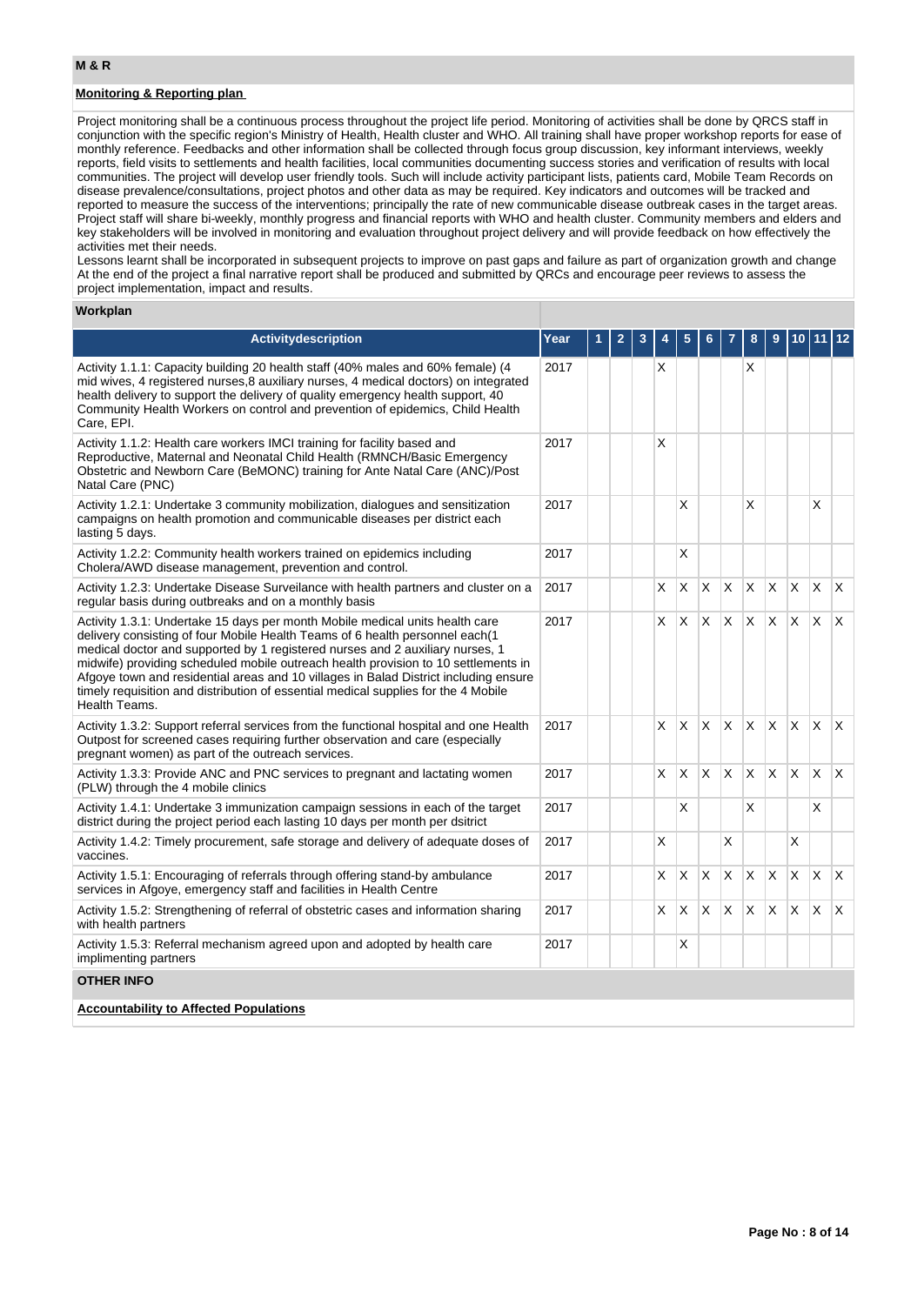# **Monitoring & Reporting plan**

Project monitoring shall be a continuous process throughout the project life period. Monitoring of activities shall be done by QRCS staff in conjunction with the specific region's Ministry of Health, Health cluster and WHO. All training shall have proper workshop reports for ease of monthly reference. Feedbacks and other information shall be collected through focus group discussion, key informant interviews, weekly reports, field visits to settlements and health facilities, local communities documenting success stories and verification of results with local communities. The project will develop user friendly tools. Such will include activity participant lists, patients card, Mobile Team Records on disease prevalence/consultations, project photos and other data as may be required. Key indicators and outcomes will be tracked and reported to measure the success of the interventions; principally the rate of new communicable disease outbreak cases in the target areas. Project staff will share bi-weekly, monthly progress and financial reports with WHO and health cluster. Community members and elders and key stakeholders will be involved in monitoring and evaluation throughout project delivery and will provide feedback on how effectively the activities met their needs.

Lessons learnt shall be incorporated in subsequent projects to improve on past gaps and failure as part of organization growth and change At the end of the project a final narrative report shall be produced and submitted by QRCs and encourage peer reviews to assess the project implementation, impact and results.

#### **Workplan**

| <b>Activitydescription</b>                                                                                                                                                                                                                                                                                                                                                                                                                                                                                                         | Year |  |   |   |          |              |              |          |          |              |              |
|------------------------------------------------------------------------------------------------------------------------------------------------------------------------------------------------------------------------------------------------------------------------------------------------------------------------------------------------------------------------------------------------------------------------------------------------------------------------------------------------------------------------------------|------|--|---|---|----------|--------------|--------------|----------|----------|--------------|--------------|
| Activity 1.1.1: Capacity building 20 health staff (40% males and 60% female) (4<br>mid wives, 4 registered nurses, 8 auxiliary nurses, 4 medical doctors) on integrated<br>health delivery to support the delivery of quality emergency health support, 40<br>Community Health Workers on control and prevention of epidemics, Child Health<br>Care, EPI.                                                                                                                                                                          | 2017 |  | X |   |          |              | X            |          |          |              |              |
| Activity 1.1.2: Health care workers IMCI training for facility based and<br>Reproductive, Maternal and Neonatal Child Health (RMNCH/Basic Emergency<br>Obstetric and Newborn Care (BeMONC) training for Ante Natal Care (ANC)/Post<br>Natal Care (PNC)                                                                                                                                                                                                                                                                             | 2017 |  | X |   |          |              |              |          |          |              |              |
| Activity 1.2.1: Undertake 3 community mobilization, dialogues and sensitization<br>campaigns on health promotion and communicable diseases per district each<br>lasting 5 days.                                                                                                                                                                                                                                                                                                                                                    | 2017 |  |   | X |          |              | X            |          |          | X            |              |
| Activity 1.2.2: Community health workers trained on epidemics including<br>Cholera/AWD disease management, prevention and control.                                                                                                                                                                                                                                                                                                                                                                                                 | 2017 |  |   | X |          |              |              |          |          |              |              |
| Activity 1.2.3: Undertake Disease Surveilance with health partners and cluster on a<br>regular basis during outbreaks and on a monthly basis                                                                                                                                                                                                                                                                                                                                                                                       | 2017 |  | X | X | X        | X            | X            | X        | X        | X            | X            |
| Activity 1.3.1: Undertake 15 days per month Mobile medical units health care<br>delivery consisting of four Mobile Health Teams of 6 health personnel each(1<br>medical doctor and supported by 1 registered nurses and 2 auxiliary nurses, 1<br>midwife) providing scheduled mobile outreach health provision to 10 settlements in<br>Afgoye town and residential areas and 10 villages in Balad District including ensure<br>timely requisition and distribution of essential medical supplies for the 4 Mobile<br>Health Teams. | 2017 |  | X | X | $\times$ | $\mathsf{x}$ | Ιx.          | X        | <b>X</b> | X            | $\mathsf{X}$ |
| Activity 1.3.2: Support referral services from the functional hospital and one Health<br>Outpost for screened cases requiring further observation and care (especially<br>pregnant women) as part of the outreach services.                                                                                                                                                                                                                                                                                                        | 2017 |  | X | X | <b>X</b> | $\mathsf{X}$ | ΙX.          | <b>X</b> | X.       | $\mathsf{X}$ | $\mathsf{X}$ |
| Activity 1.3.3: Provide ANC and PNC services to pregnant and lactating women<br>(PLW) through the 4 mobile clinics                                                                                                                                                                                                                                                                                                                                                                                                                 | 2017 |  | X | X | X        | $\mathsf{x}$ | $\mathsf{x}$ | <b>X</b> | X        | X            | ΙX.          |
| Activity 1.4.1: Undertake 3 immunization campaign sessions in each of the target<br>district during the project period each lasting 10 days per month per dsitrict                                                                                                                                                                                                                                                                                                                                                                 | 2017 |  |   | X |          |              | X            |          |          | X            |              |
| Activity 1.4.2: Timely procurement, safe storage and delivery of adequate doses of<br>vaccines.                                                                                                                                                                                                                                                                                                                                                                                                                                    | 2017 |  | X |   |          | Х            |              |          | X        |              |              |
| Activity 1.5.1: Encouraging of referrals through offering stand-by ambulance<br>services in Afgoye, emergency staff and facilities in Health Centre                                                                                                                                                                                                                                                                                                                                                                                | 2017 |  | X | X | $\times$ | X            | <b>X</b>     | X        | X        | $\mathsf{x}$ | $\mathsf{X}$ |
| Activity 1.5.2: Strengthening of referral of obstetric cases and information sharing<br>with health partners                                                                                                                                                                                                                                                                                                                                                                                                                       | 2017 |  | X | X | X        | X.           | IX.          | $\times$ | $\times$ | $\mathsf{X}$ | ΙX.          |
| Activity 1.5.3: Referral mechanism agreed upon and adopted by health care<br>implimenting partners                                                                                                                                                                                                                                                                                                                                                                                                                                 | 2017 |  |   | X |          |              |              |          |          |              |              |
| <b>OTHER INFO</b>                                                                                                                                                                                                                                                                                                                                                                                                                                                                                                                  |      |  |   |   |          |              |              |          |          |              |              |
| <b>Accountability to Affected Populations</b>                                                                                                                                                                                                                                                                                                                                                                                                                                                                                      |      |  |   |   |          |              |              |          |          |              |              |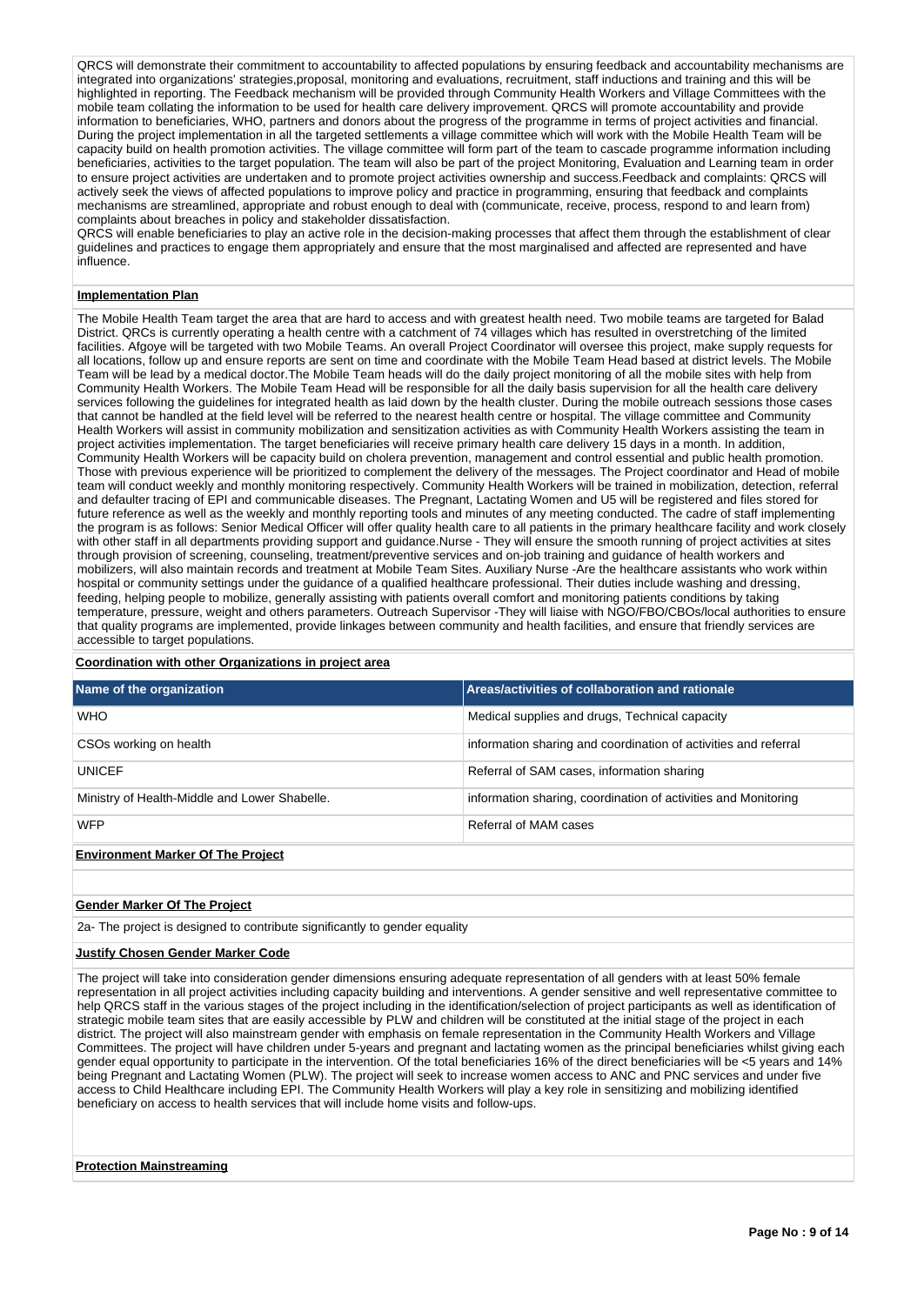QRCS will demonstrate their commitment to accountability to affected populations by ensuring feedback and accountability mechanisms are integrated into organizations' strategies,proposal, monitoring and evaluations, recruitment, staff inductions and training and this will be highlighted in reporting. The Feedback mechanism will be provided through Community Health Workers and Village Committees with the mobile team collating the information to be used for health care delivery improvement. QRCS will promote accountability and provide information to beneficiaries, WHO, partners and donors about the progress of the programme in terms of project activities and financial. During the project implementation in all the targeted settlements a village committee which will work with the Mobile Health Team will be capacity build on health promotion activities. The village committee will form part of the team to cascade programme information including beneficiaries, activities to the target population. The team will also be part of the project Monitoring, Evaluation and Learning team in order to ensure project activities are undertaken and to promote project activities ownership and success.Feedback and complaints: QRCS will actively seek the views of affected populations to improve policy and practice in programming, ensuring that feedback and complaints mechanisms are streamlined, appropriate and robust enough to deal with (communicate, receive, process, respond to and learn from) complaints about breaches in policy and stakeholder dissatisfaction.

QRCS will enable beneficiaries to play an active role in the decision-making processes that affect them through the establishment of clear guidelines and practices to engage them appropriately and ensure that the most marginalised and affected are represented and have influence.

### **Implementation Plan**

The Mobile Health Team target the area that are hard to access and with greatest health need. Two mobile teams are targeted for Balad District. QRCs is currently operating a health centre with a catchment of 74 villages which has resulted in overstretching of the limited facilities. Afgoye will be targeted with two Mobile Teams. An overall Project Coordinator will oversee this project, make supply requests for all locations, follow up and ensure reports are sent on time and coordinate with the Mobile Team Head based at district levels. The Mobile Team will be lead by a medical doctor.The Mobile Team heads will do the daily project monitoring of all the mobile sites with help from Community Health Workers. The Mobile Team Head will be responsible for all the daily basis supervision for all the health care delivery services following the guidelines for integrated health as laid down by the health cluster. During the mobile outreach sessions those cases that cannot be handled at the field level will be referred to the nearest health centre or hospital. The village committee and Community Health Workers will assist in community mobilization and sensitization activities as with Community Health Workers assisting the team in project activities implementation. The target beneficiaries will receive primary health care delivery 15 days in a month. In addition, Community Health Workers will be capacity build on cholera prevention, management and control essential and public health promotion. Those with previous experience will be prioritized to complement the delivery of the messages. The Project coordinator and Head of mobile team will conduct weekly and monthly monitoring respectively. Community Health Workers will be trained in mobilization, detection, referral and defaulter tracing of EPI and communicable diseases. The Pregnant, Lactating Women and U5 will be registered and files stored for future reference as well as the weekly and monthly reporting tools and minutes of any meeting conducted. The cadre of staff implementing the program is as follows: Senior Medical Officer will offer quality health care to all patients in the primary healthcare facility and work closely with other staff in all departments providing support and guidance.Nurse - They will ensure the smooth running of project activities at sites through provision of screening, counseling, treatment/preventive services and on-job training and guidance of health workers and mobilizers, will also maintain records and treatment at Mobile Team Sites. Auxiliary Nurse -Are the healthcare assistants who work within hospital or community settings under the guidance of a qualified healthcare professional. Their duties include washing and dressing, feeding, helping people to mobilize, generally assisting with patients overall comfort and monitoring patients conditions by taking temperature, pressure, weight and others parameters. Outreach Supervisor -They will liaise with NGO/FBO/CBOs/local authorities to ensure that quality programs are implemented, provide linkages between community and health facilities, and ensure that friendly services are accessible to target populations.

#### **Coordination with other Organizations in project area**

| Name of the organization                      | Areas/activities of collaboration and rationale                 |
|-----------------------------------------------|-----------------------------------------------------------------|
| <b>WHO</b>                                    | Medical supplies and drugs, Technical capacity                  |
| CSO <sub>s</sub> working on health            | information sharing and coordination of activities and referral |
| <b>UNICEF</b>                                 | Referral of SAM cases, information sharing                      |
| Ministry of Health-Middle and Lower Shabelle. | information sharing, coordination of activities and Monitoring  |
| <b>WFP</b>                                    | Referral of MAM cases                                           |
| <b>Environment Marker Of The Project</b>      |                                                                 |

## **Gender Marker Of The Project**

2a- The project is designed to contribute significantly to gender equality

### **Justify Chosen Gender Marker Code**

The project will take into consideration gender dimensions ensuring adequate representation of all genders with at least 50% female representation in all project activities including capacity building and interventions. A gender sensitive and well representative committee to help QRCS staff in the various stages of the project including in the identification/selection of project participants as well as identification of strategic mobile team sites that are easily accessible by PLW and children will be constituted at the initial stage of the project in each district. The project will also mainstream gender with emphasis on female representation in the Community Health Workers and Village Committees. The project will have children under 5-years and pregnant and lactating women as the principal beneficiaries whilst giving each gender equal opportunity to participate in the intervention. Of the total beneficiaries 16% of the direct beneficiaries will be <5 years and 14% being Pregnant and Lactating Women (PLW). The project will seek to increase women access to ANC and PNC services and under five access to Child Healthcare including EPI. The Community Health Workers will play a key role in sensitizing and mobilizing identified beneficiary on access to health services that will include home visits and follow-ups.

### **Protection Mainstreaming**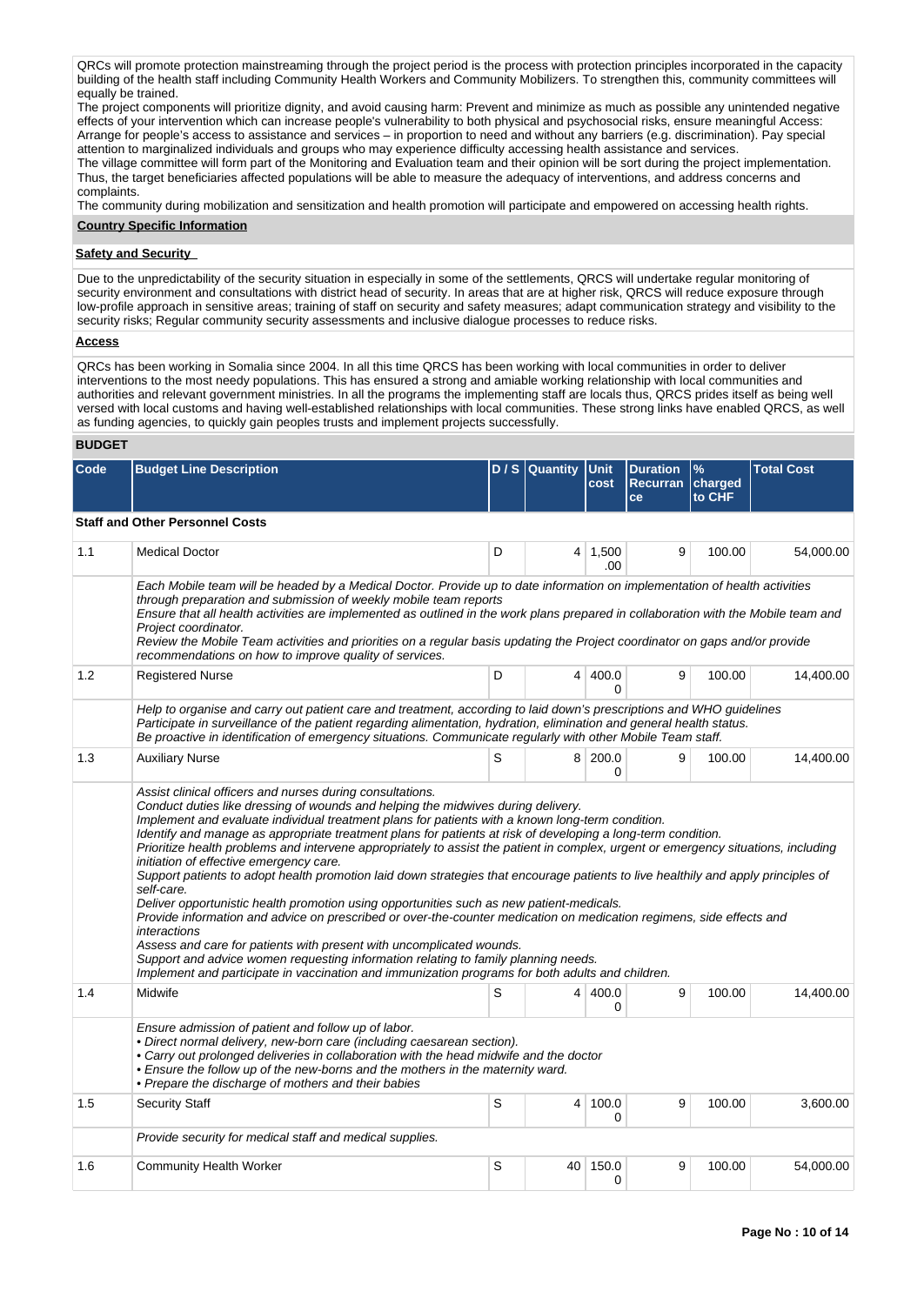QRCs will promote protection mainstreaming through the project period is the process with protection principles incorporated in the capacity building of the health staff including Community Health Workers and Community Mobilizers. To strengthen this, community committees will equally be trained.

The project components will prioritize dignity, and avoid causing harm: Prevent and minimize as much as possible any unintended negative effects of your intervention which can increase people's vulnerability to both physical and psychosocial risks, ensure meaningful Access: Arrange for people's access to assistance and services – in proportion to need and without any barriers (e.g. discrimination). Pay special attention to marginalized individuals and groups who may experience difficulty accessing health assistance and services. The village committee will form part of the Monitoring and Evaluation team and their opinion will be sort during the project implementation. Thus, the target beneficiaries affected populations will be able to measure the adequacy of interventions, and address concerns and complaints.

The community during mobilization and sensitization and health promotion will participate and empowered on accessing health rights.

# **Country Specific Information**

## **Safety and Security**

Due to the unpredictability of the security situation in especially in some of the settlements, QRCS will undertake regular monitoring of security environment and consultations with district head of security. In areas that are at higher risk, QRCS will reduce exposure through low-profile approach in sensitive areas; training of staff on security and safety measures; adapt communication strategy and visibility to the security risks; Regular community security assessments and inclusive dialogue processes to reduce risks.

## **Access**

QRCs has been working in Somalia since 2004. In all this time QRCS has been working with local communities in order to deliver interventions to the most needy populations. This has ensured a strong and amiable working relationship with local communities and authorities and relevant government ministries. In all the programs the implementing staff are locals thus, QRCS prides itself as being well versed with local customs and having well-established relationships with local communities. These strong links have enabled QRCS, as well as funding agencies, to quickly gain peoples trusts and implement projects successfully.

### **BUDGET**

| Code | <b>Budget Line Description</b>                                                                                                                                                                                                                                                                                                                                                                                                                                                                                                                                                                                                                                                                                                                                                                                                                                                                                                                                                                                                                                                                                                                                                                              |   | D / S Quantity Unit | cost                | <b>Duration</b><br>Recurran charged<br>ce | $\frac{9}{6}$<br>to CHF | <b>Total Cost</b> |
|------|-------------------------------------------------------------------------------------------------------------------------------------------------------------------------------------------------------------------------------------------------------------------------------------------------------------------------------------------------------------------------------------------------------------------------------------------------------------------------------------------------------------------------------------------------------------------------------------------------------------------------------------------------------------------------------------------------------------------------------------------------------------------------------------------------------------------------------------------------------------------------------------------------------------------------------------------------------------------------------------------------------------------------------------------------------------------------------------------------------------------------------------------------------------------------------------------------------------|---|---------------------|---------------------|-------------------------------------------|-------------------------|-------------------|
|      | <b>Staff and Other Personnel Costs</b>                                                                                                                                                                                                                                                                                                                                                                                                                                                                                                                                                                                                                                                                                                                                                                                                                                                                                                                                                                                                                                                                                                                                                                      |   |                     |                     |                                           |                         |                   |
| 1.1  | <b>Medical Doctor</b>                                                                                                                                                                                                                                                                                                                                                                                                                                                                                                                                                                                                                                                                                                                                                                                                                                                                                                                                                                                                                                                                                                                                                                                       | D | 4 <sup>1</sup>      | 1,500<br>.00        | 9                                         | 100.00                  | 54.000.00         |
|      | Each Mobile team will be headed by a Medical Doctor. Provide up to date information on implementation of health activities<br>through preparation and submission of weekly mobile team reports<br>Ensure that all health activities are implemented as outlined in the work plans prepared in collaboration with the Mobile team and<br>Project coordinator.<br>Review the Mobile Team activities and priorities on a regular basis updating the Project coordinator on gaps and/or provide<br>recommendations on how to improve quality of services.                                                                                                                                                                                                                                                                                                                                                                                                                                                                                                                                                                                                                                                       |   |                     |                     |                                           |                         |                   |
| 1.2  | <b>Registered Nurse</b>                                                                                                                                                                                                                                                                                                                                                                                                                                                                                                                                                                                                                                                                                                                                                                                                                                                                                                                                                                                                                                                                                                                                                                                     | D |                     | 4 400.0<br>0        | 9                                         | 100.00                  | 14,400.00         |
|      | Help to organise and carry out patient care and treatment, according to laid down's prescriptions and WHO guidelines<br>Participate in surveillance of the patient regarding alimentation, hydration, elimination and general health status.<br>Be proactive in identification of emergency situations. Communicate regularly with other Mobile Team staff.                                                                                                                                                                                                                                                                                                                                                                                                                                                                                                                                                                                                                                                                                                                                                                                                                                                 |   |                     |                     |                                           |                         |                   |
| 1.3  | <b>Auxiliary Nurse</b>                                                                                                                                                                                                                                                                                                                                                                                                                                                                                                                                                                                                                                                                                                                                                                                                                                                                                                                                                                                                                                                                                                                                                                                      | S |                     | 8 200.0<br>$\Omega$ | 9                                         | 100.00                  | 14,400.00         |
|      | Assist clinical officers and nurses during consultations.<br>Conduct duties like dressing of wounds and helping the midwives during delivery.<br>Implement and evaluate individual treatment plans for patients with a known long-term condition.<br>Identify and manage as appropriate treatment plans for patients at risk of developing a long-term condition.<br>Prioritize health problems and intervene appropriately to assist the patient in complex, urgent or emergency situations, including<br>initiation of effective emergency care.<br>Support patients to adopt health promotion laid down strategies that encourage patients to live healthily and apply principles of<br>self-care.<br>Deliver opportunistic health promotion using opportunities such as new patient-medicals.<br>Provide information and advice on prescribed or over-the-counter medication on medication regimens, side effects and<br>interactions<br>Assess and care for patients with present with uncomplicated wounds.<br>Support and advice women requesting information relating to family planning needs.<br>Implement and participate in vaccination and immunization programs for both adults and children. |   |                     |                     |                                           |                         |                   |
| 1.4  | Midwife                                                                                                                                                                                                                                                                                                                                                                                                                                                                                                                                                                                                                                                                                                                                                                                                                                                                                                                                                                                                                                                                                                                                                                                                     | S | 4 <sup>1</sup>      | 400.0<br>0          | 9                                         | 100.00                  | 14,400.00         |
|      | Ensure admission of patient and follow up of labor.<br>· Direct normal delivery, new-born care (including caesarean section).<br>• Carry out prolonged deliveries in collaboration with the head midwife and the doctor<br>• Ensure the follow up of the new-borns and the mothers in the maternity ward.<br>• Prepare the discharge of mothers and their babies                                                                                                                                                                                                                                                                                                                                                                                                                                                                                                                                                                                                                                                                                                                                                                                                                                            |   |                     |                     |                                           |                         |                   |
| 1.5  | <b>Security Staff</b>                                                                                                                                                                                                                                                                                                                                                                                                                                                                                                                                                                                                                                                                                                                                                                                                                                                                                                                                                                                                                                                                                                                                                                                       | S | 4 <sup>1</sup>      | 100.0<br>0          | 9                                         | 100.00                  | 3,600.00          |
|      | Provide security for medical staff and medical supplies.                                                                                                                                                                                                                                                                                                                                                                                                                                                                                                                                                                                                                                                                                                                                                                                                                                                                                                                                                                                                                                                                                                                                                    |   |                     |                     |                                           |                         |                   |
| 1.6  | <b>Community Health Worker</b>                                                                                                                                                                                                                                                                                                                                                                                                                                                                                                                                                                                                                                                                                                                                                                                                                                                                                                                                                                                                                                                                                                                                                                              | S | 40                  | 150.0<br>0          | 9                                         | 100.00                  | 54.000.00         |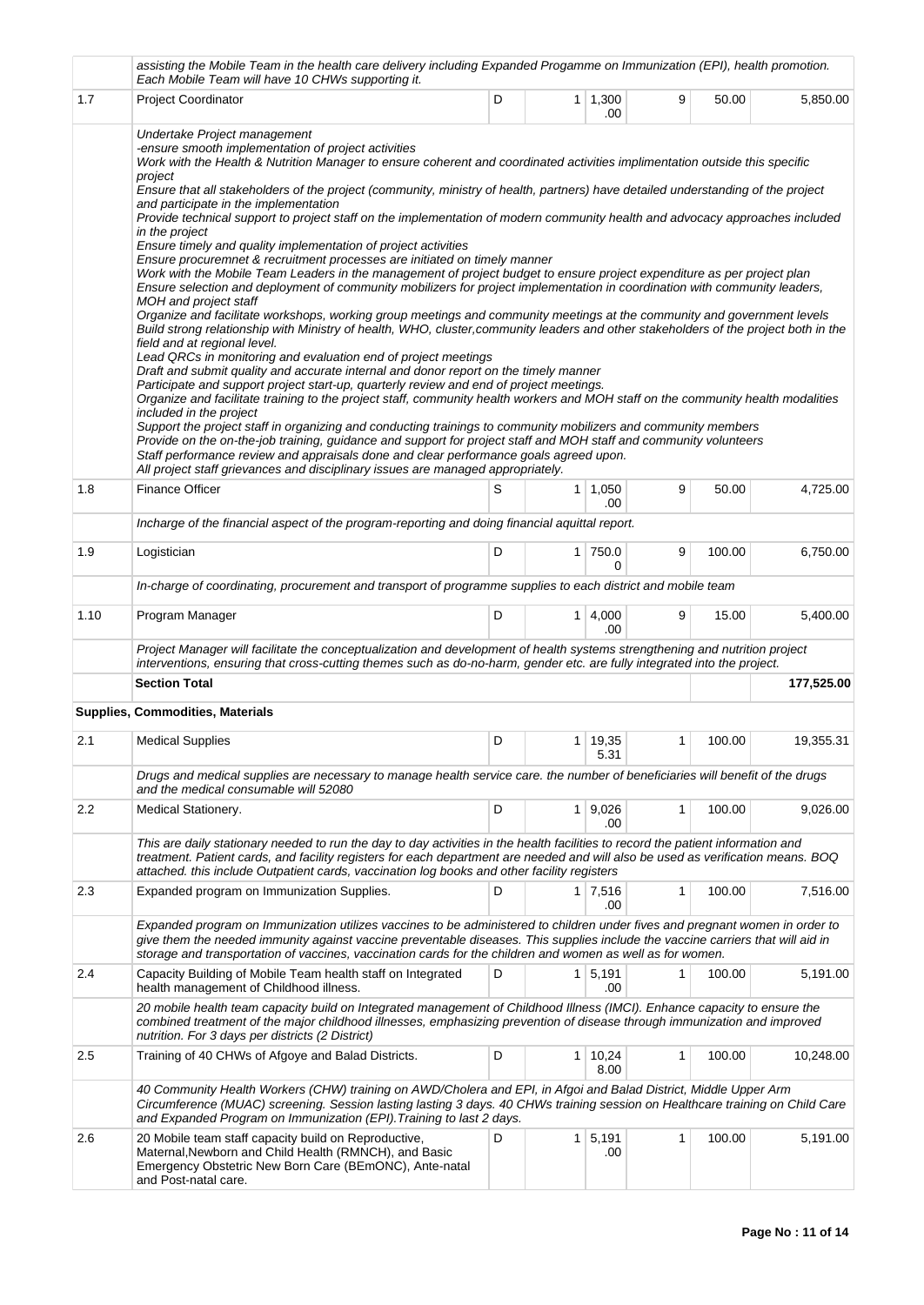|      | assisting the Mobile Team in the health care delivery including Expanded Progamme on Immunization (EPI), health promotion.<br>Each Mobile Team will have 10 CHWs supporting it.                                                                                                                                                                                                                                                                                                                                                                                                                                                                                                                                                                                                                                                                                                                                                                                                                                                                                                                                                                                                                                                                                                                                                                                                                                                                                                                                                                                                                                                                                                                                                                                                                                                                                                                                                                                                                                                                                                                                                        |   |                |                       |              |        |            |  |
|------|----------------------------------------------------------------------------------------------------------------------------------------------------------------------------------------------------------------------------------------------------------------------------------------------------------------------------------------------------------------------------------------------------------------------------------------------------------------------------------------------------------------------------------------------------------------------------------------------------------------------------------------------------------------------------------------------------------------------------------------------------------------------------------------------------------------------------------------------------------------------------------------------------------------------------------------------------------------------------------------------------------------------------------------------------------------------------------------------------------------------------------------------------------------------------------------------------------------------------------------------------------------------------------------------------------------------------------------------------------------------------------------------------------------------------------------------------------------------------------------------------------------------------------------------------------------------------------------------------------------------------------------------------------------------------------------------------------------------------------------------------------------------------------------------------------------------------------------------------------------------------------------------------------------------------------------------------------------------------------------------------------------------------------------------------------------------------------------------------------------------------------------|---|----------------|-----------------------|--------------|--------|------------|--|
| 1.7  | <b>Project Coordinator</b>                                                                                                                                                                                                                                                                                                                                                                                                                                                                                                                                                                                                                                                                                                                                                                                                                                                                                                                                                                                                                                                                                                                                                                                                                                                                                                                                                                                                                                                                                                                                                                                                                                                                                                                                                                                                                                                                                                                                                                                                                                                                                                             | D |                | $1 \mid 1,300$<br>.00 | 9            | 50.00  | 5,850.00   |  |
|      | Undertake Project management<br>-ensure smooth implementation of project activities<br>Work with the Health & Nutrition Manager to ensure coherent and coordinated activities implimentation outside this specific<br>project<br>Ensure that all stakeholders of the project (community, ministry of health, partners) have detailed understanding of the project<br>and participate in the implementation<br>Provide technical support to project staff on the implementation of modern community health and advocacy approaches included<br>in the project<br>Ensure timely and quality implementation of project activities<br>Ensure procuremnet & recruitment processes are initiated on timely manner<br>Work with the Mobile Team Leaders in the management of project budget to ensure project expenditure as per project plan<br>Ensure selection and deployment of community mobilizers for project implementation in coordination with community leaders,<br>MOH and project staff<br>Organize and facilitate workshops, working group meetings and community meetings at the community and government levels<br>Build strong relationship with Ministry of health, WHO, cluster,community leaders and other stakeholders of the project both in the<br>field and at regional level.<br>Lead QRCs in monitoring and evaluation end of project meetings<br>Draft and submit quality and accurate internal and donor report on the timely manner<br>Participate and support project start-up, quarterly review and end of project meetings.<br>Organize and facilitate training to the project staff, community health workers and MOH staff on the community health modalities<br>included in the project<br>Support the project staff in organizing and conducting trainings to community mobilizers and community members<br>Provide on the on-the-job training, guidance and support for project staff and MOH staff and community volunteers<br>Staff performance review and appraisals done and clear performance goals agreed upon.<br>All project staff grievances and disciplinary issues are managed appropriately. |   |                |                       |              |        |            |  |
| 1.8  | <b>Finance Officer</b>                                                                                                                                                                                                                                                                                                                                                                                                                                                                                                                                                                                                                                                                                                                                                                                                                                                                                                                                                                                                                                                                                                                                                                                                                                                                                                                                                                                                                                                                                                                                                                                                                                                                                                                                                                                                                                                                                                                                                                                                                                                                                                                 | S | 1              | 1,050<br>.00          | 9            | 50.00  | 4,725.00   |  |
|      | Incharge of the financial aspect of the program-reporting and doing financial aquittal report.                                                                                                                                                                                                                                                                                                                                                                                                                                                                                                                                                                                                                                                                                                                                                                                                                                                                                                                                                                                                                                                                                                                                                                                                                                                                                                                                                                                                                                                                                                                                                                                                                                                                                                                                                                                                                                                                                                                                                                                                                                         |   |                |                       |              |        |            |  |
| 1.9  | Logistician                                                                                                                                                                                                                                                                                                                                                                                                                                                                                                                                                                                                                                                                                                                                                                                                                                                                                                                                                                                                                                                                                                                                                                                                                                                                                                                                                                                                                                                                                                                                                                                                                                                                                                                                                                                                                                                                                                                                                                                                                                                                                                                            | D |                | $1$ 750.0<br>0        | 9            | 100.00 | 6,750.00   |  |
|      | In-charge of coordinating, procurement and transport of programme supplies to each district and mobile team                                                                                                                                                                                                                                                                                                                                                                                                                                                                                                                                                                                                                                                                                                                                                                                                                                                                                                                                                                                                                                                                                                                                                                                                                                                                                                                                                                                                                                                                                                                                                                                                                                                                                                                                                                                                                                                                                                                                                                                                                            |   |                |                       |              |        |            |  |
| 1.10 | Program Manager                                                                                                                                                                                                                                                                                                                                                                                                                                                                                                                                                                                                                                                                                                                                                                                                                                                                                                                                                                                                                                                                                                                                                                                                                                                                                                                                                                                                                                                                                                                                                                                                                                                                                                                                                                                                                                                                                                                                                                                                                                                                                                                        | D |                | $1 \mid 4,000$<br>.00 | 9            | 15.00  | 5,400.00   |  |
|      | Project Manager will facilitate the conceptualization and development of health systems strengthening and nutrition project<br>interventions, ensuring that cross-cutting themes such as do-no-harm, gender etc. are fully integrated into the project.                                                                                                                                                                                                                                                                                                                                                                                                                                                                                                                                                                                                                                                                                                                                                                                                                                                                                                                                                                                                                                                                                                                                                                                                                                                                                                                                                                                                                                                                                                                                                                                                                                                                                                                                                                                                                                                                                |   |                |                       |              |        |            |  |
|      | <b>Section Total</b>                                                                                                                                                                                                                                                                                                                                                                                                                                                                                                                                                                                                                                                                                                                                                                                                                                                                                                                                                                                                                                                                                                                                                                                                                                                                                                                                                                                                                                                                                                                                                                                                                                                                                                                                                                                                                                                                                                                                                                                                                                                                                                                   |   |                |                       |              |        | 177,525.00 |  |
|      | <b>Supplies, Commodities, Materials</b>                                                                                                                                                                                                                                                                                                                                                                                                                                                                                                                                                                                                                                                                                                                                                                                                                                                                                                                                                                                                                                                                                                                                                                                                                                                                                                                                                                                                                                                                                                                                                                                                                                                                                                                                                                                                                                                                                                                                                                                                                                                                                                |   |                |                       |              |        |            |  |
| 2.1  | <b>Medical Supplies</b>                                                                                                                                                                                                                                                                                                                                                                                                                                                                                                                                                                                                                                                                                                                                                                                                                                                                                                                                                                                                                                                                                                                                                                                                                                                                                                                                                                                                                                                                                                                                                                                                                                                                                                                                                                                                                                                                                                                                                                                                                                                                                                                | D | 1              | 19,35<br>5.31         | 1            | 100.00 | 19,355.31  |  |
|      | Drugs and medical supplies are necessary to manage health service care. the number of beneficiaries will benefit of the drugs<br>and the medical consumable will 52080                                                                                                                                                                                                                                                                                                                                                                                                                                                                                                                                                                                                                                                                                                                                                                                                                                                                                                                                                                                                                                                                                                                                                                                                                                                                                                                                                                                                                                                                                                                                                                                                                                                                                                                                                                                                                                                                                                                                                                 |   |                |                       |              |        |            |  |
| 2.2  | Medical Stationery.                                                                                                                                                                                                                                                                                                                                                                                                                                                                                                                                                                                                                                                                                                                                                                                                                                                                                                                                                                                                                                                                                                                                                                                                                                                                                                                                                                                                                                                                                                                                                                                                                                                                                                                                                                                                                                                                                                                                                                                                                                                                                                                    | D | 1 <sup>1</sup> | 9,026<br>.00          | 1            | 100.00 | 9,026.00   |  |
|      | This are daily stationary needed to run the day to day activities in the health facilities to record the patient information and<br>treatment. Patient cards, and facility registers for each department are needed and will also be used as verification means. BOQ<br>attached. this include Outpatient cards, vaccination log books and other facility registers                                                                                                                                                                                                                                                                                                                                                                                                                                                                                                                                                                                                                                                                                                                                                                                                                                                                                                                                                                                                                                                                                                                                                                                                                                                                                                                                                                                                                                                                                                                                                                                                                                                                                                                                                                    |   |                |                       |              |        |            |  |
| 2.3  | Expanded program on Immunization Supplies.                                                                                                                                                                                                                                                                                                                                                                                                                                                                                                                                                                                                                                                                                                                                                                                                                                                                                                                                                                                                                                                                                                                                                                                                                                                                                                                                                                                                                                                                                                                                                                                                                                                                                                                                                                                                                                                                                                                                                                                                                                                                                             | D |                | $1 \mid 7.516$<br>.00 | $\mathbf{1}$ | 100.00 | 7,516.00   |  |
|      | Expanded program on Immunization utilizes vaccines to be administered to children under fives and pregnant women in order to<br>give them the needed immunity against vaccine preventable diseases. This supplies include the vaccine carriers that will aid in<br>storage and transportation of vaccines, vaccination cards for the children and women as well as for women.                                                                                                                                                                                                                                                                                                                                                                                                                                                                                                                                                                                                                                                                                                                                                                                                                                                                                                                                                                                                                                                                                                                                                                                                                                                                                                                                                                                                                                                                                                                                                                                                                                                                                                                                                          |   |                |                       |              |        |            |  |
| 2.4  | Capacity Building of Mobile Team health staff on Integrated<br>health management of Childhood illness.                                                                                                                                                                                                                                                                                                                                                                                                                                                                                                                                                                                                                                                                                                                                                                                                                                                                                                                                                                                                                                                                                                                                                                                                                                                                                                                                                                                                                                                                                                                                                                                                                                                                                                                                                                                                                                                                                                                                                                                                                                 | D |                | $1 \mid 5,191$<br>.00 | 1            | 100.00 | 5,191.00   |  |
|      | 20 mobile health team capacity build on Integrated management of Childhood Illness (IMCI). Enhance capacity to ensure the<br>combined treatment of the major childhood illnesses, emphasizing prevention of disease through immunization and improved<br>nutrition. For 3 days per districts (2 District)                                                                                                                                                                                                                                                                                                                                                                                                                                                                                                                                                                                                                                                                                                                                                                                                                                                                                                                                                                                                                                                                                                                                                                                                                                                                                                                                                                                                                                                                                                                                                                                                                                                                                                                                                                                                                              |   |                |                       |              |        |            |  |
| 2.5  | Training of 40 CHWs of Afgoye and Balad Districts.                                                                                                                                                                                                                                                                                                                                                                                                                                                                                                                                                                                                                                                                                                                                                                                                                                                                                                                                                                                                                                                                                                                                                                                                                                                                                                                                                                                                                                                                                                                                                                                                                                                                                                                                                                                                                                                                                                                                                                                                                                                                                     | D | $\mathbf{1}$   | 10,24<br>8.00         | 1            | 100.00 | 10,248.00  |  |
|      | 40 Community Health Workers (CHW) training on AWD/Cholera and EPI, in Afgoi and Balad District, Middle Upper Arm<br>Circumference (MUAC) screening. Session lasting lasting 3 days. 40 CHWs training session on Healthcare training on Child Care<br>and Expanded Program on Immunization (EPI). Training to last 2 days.                                                                                                                                                                                                                                                                                                                                                                                                                                                                                                                                                                                                                                                                                                                                                                                                                                                                                                                                                                                                                                                                                                                                                                                                                                                                                                                                                                                                                                                                                                                                                                                                                                                                                                                                                                                                              |   |                |                       |              |        |            |  |
| 2.6  | 20 Mobile team staff capacity build on Reproductive,<br>Maternal, Newborn and Child Health (RMNCH), and Basic<br>Emergency Obstetric New Born Care (BEmONC), Ante-natal<br>and Post-natal care.                                                                                                                                                                                                                                                                                                                                                                                                                                                                                                                                                                                                                                                                                                                                                                                                                                                                                                                                                                                                                                                                                                                                                                                                                                                                                                                                                                                                                                                                                                                                                                                                                                                                                                                                                                                                                                                                                                                                        | D |                | $1 \mid 5,191$<br>.00 | 1            | 100.00 | 5,191.00   |  |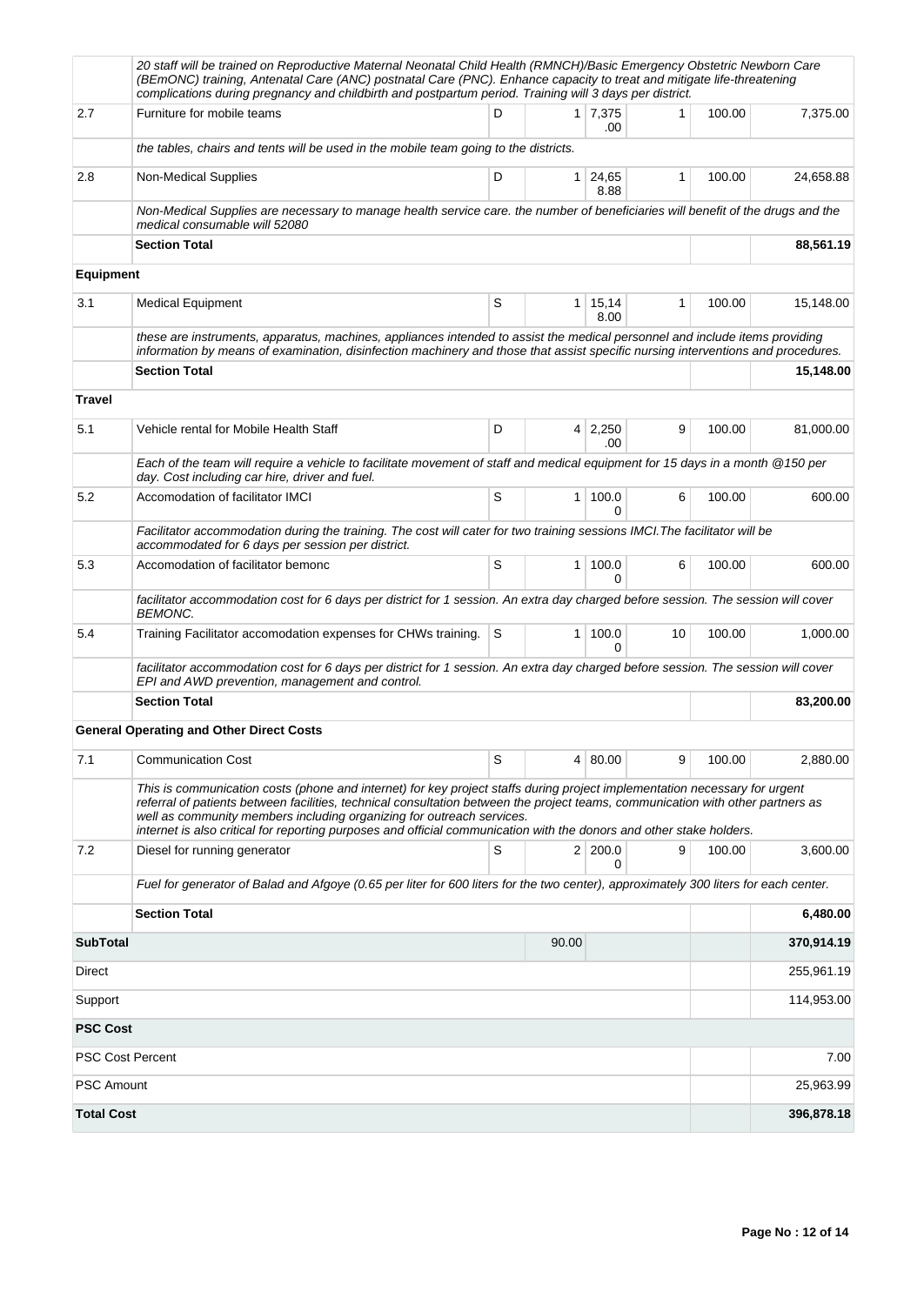|                          | 20 staff will be trained on Reproductive Maternal Neonatal Child Health (RMNCH)/Basic Emergency Obstetric Newborn Care<br>(BEmONC) training, Antenatal Care (ANC) postnatal Care (PNC). Enhance capacity to treat and mitigate life-threatening<br>complications during pregnancy and childbirth and postpartum period. Training will 3 days per district.                                                                                                     |   |                |                       |              |        |            |
|--------------------------|----------------------------------------------------------------------------------------------------------------------------------------------------------------------------------------------------------------------------------------------------------------------------------------------------------------------------------------------------------------------------------------------------------------------------------------------------------------|---|----------------|-----------------------|--------------|--------|------------|
| 2.7                      | Furniture for mobile teams                                                                                                                                                                                                                                                                                                                                                                                                                                     | D |                | $1 \mid 7,375$<br>.00 | 1            | 100.00 | 7,375.00   |
|                          | the tables, chairs and tents will be used in the mobile team going to the districts.                                                                                                                                                                                                                                                                                                                                                                           |   |                |                       |              |        |            |
| 2.8                      | Non-Medical Supplies                                                                                                                                                                                                                                                                                                                                                                                                                                           | D | 1 <sup>1</sup> | 24,65<br>8.88         | $\mathbf{1}$ | 100.00 | 24,658.88  |
|                          | Non-Medical Supplies are necessary to manage health service care. the number of beneficiaries will benefit of the drugs and the<br>medical consumable will 52080                                                                                                                                                                                                                                                                                               |   |                |                       |              |        |            |
|                          | <b>Section Total</b>                                                                                                                                                                                                                                                                                                                                                                                                                                           |   |                |                       |              |        | 88,561.19  |
| <b>Equipment</b>         |                                                                                                                                                                                                                                                                                                                                                                                                                                                                |   |                |                       |              |        |            |
| 3.1                      | <b>Medical Equipment</b>                                                                                                                                                                                                                                                                                                                                                                                                                                       | S | 1 <sup>1</sup> | 15,14<br>8.00         | $\mathbf{1}$ | 100.00 | 15,148.00  |
|                          | these are instruments, apparatus, machines, appliances intended to assist the medical personnel and include items providing<br>information by means of examination, disinfection machinery and those that assist specific nursing interventions and procedures.                                                                                                                                                                                                |   |                |                       |              |        |            |
|                          | <b>Section Total</b>                                                                                                                                                                                                                                                                                                                                                                                                                                           |   |                |                       |              |        | 15,148.00  |
| <b>Travel</b>            |                                                                                                                                                                                                                                                                                                                                                                                                                                                                |   |                |                       |              |        |            |
| 5.1                      | Vehicle rental for Mobile Health Staff                                                                                                                                                                                                                                                                                                                                                                                                                         | D |                | $4 \mid 2,250$<br>.00 | 9            | 100.00 | 81,000.00  |
|                          | Each of the team will require a vehicle to facilitate movement of staff and medical equipment for 15 days in a month @150 per<br>day. Cost including car hire, driver and fuel.                                                                                                                                                                                                                                                                                |   |                |                       |              |        |            |
| 5.2                      | Accomodation of facilitator IMCI                                                                                                                                                                                                                                                                                                                                                                                                                               | S | $\mathbf{1}$   | 100.0<br><sup>0</sup> | 6            | 100.00 | 600.00     |
|                          | Facilitator accommodation during the training. The cost will cater for two training sessions IMCI. The facilitator will be<br>accommodated for 6 days per session per district.                                                                                                                                                                                                                                                                                |   |                |                       |              |        |            |
| 5.3                      | Accomodation of facilitator bemonc                                                                                                                                                                                                                                                                                                                                                                                                                             | S | $\mathbf{1}$   | 100.0<br>0            | 6            | 100.00 | 600.00     |
|                          | facilitator accommodation cost for 6 days per district for 1 session. An extra day charged before session. The session will cover<br><b>BEMONC.</b>                                                                                                                                                                                                                                                                                                            |   |                |                       |              |        |            |
| 5.4                      | Training Facilitator accomodation expenses for CHWs training.                                                                                                                                                                                                                                                                                                                                                                                                  | S | $\mathbf{1}$   | 100.0<br>0            | 10           | 100.00 | 1,000.00   |
|                          | facilitator accommodation cost for 6 days per district for 1 session. An extra day charged before session. The session will cover<br>EPI and AWD prevention, management and control.                                                                                                                                                                                                                                                                           |   |                |                       |              |        |            |
|                          | <b>Section Total</b>                                                                                                                                                                                                                                                                                                                                                                                                                                           |   |                |                       |              |        | 83,200.00  |
|                          | <b>General Operating and Other Direct Costs</b>                                                                                                                                                                                                                                                                                                                                                                                                                |   |                |                       |              |        |            |
| 7.1                      | <b>Communication Cost</b>                                                                                                                                                                                                                                                                                                                                                                                                                                      | S |                | 4 80.00               | 9            | 100.00 | 2,880.00   |
|                          | This is communication costs (phone and internet) for key project staffs during project implementation necessary for urgent<br>referral of patients between facilities, technical consultation between the project teams, communication with other partners as<br>well as community members including organizing for outreach services.<br>internet is also critical for reporting purposes and official communication with the donors and other stake holders. |   |                |                       |              |        |            |
| 7.2                      | Diesel for running generator                                                                                                                                                                                                                                                                                                                                                                                                                                   | S |                | 2 200.0<br>0          | 9            | 100.00 | 3,600.00   |
|                          | Fuel for generator of Balad and Afgoye (0.65 per liter for 600 liters for the two center), approximately 300 liters for each center.                                                                                                                                                                                                                                                                                                                           |   |                |                       |              |        |            |
|                          | <b>Section Total</b>                                                                                                                                                                                                                                                                                                                                                                                                                                           |   |                |                       |              |        | 6,480.00   |
| <b>SubTotal</b><br>90.00 |                                                                                                                                                                                                                                                                                                                                                                                                                                                                |   |                |                       |              |        | 370,914.19 |
| Direct                   |                                                                                                                                                                                                                                                                                                                                                                                                                                                                |   |                |                       |              |        | 255,961.19 |
| Support                  |                                                                                                                                                                                                                                                                                                                                                                                                                                                                |   |                |                       |              |        | 114,953.00 |
| <b>PSC Cost</b>          |                                                                                                                                                                                                                                                                                                                                                                                                                                                                |   |                |                       |              |        |            |
|                          | <b>PSC Cost Percent</b>                                                                                                                                                                                                                                                                                                                                                                                                                                        |   |                |                       |              |        | 7.00       |
| <b>PSC Amount</b>        |                                                                                                                                                                                                                                                                                                                                                                                                                                                                |   |                |                       |              |        | 25,963.99  |
| <b>Total Cost</b>        |                                                                                                                                                                                                                                                                                                                                                                                                                                                                |   |                |                       |              |        | 396,878.18 |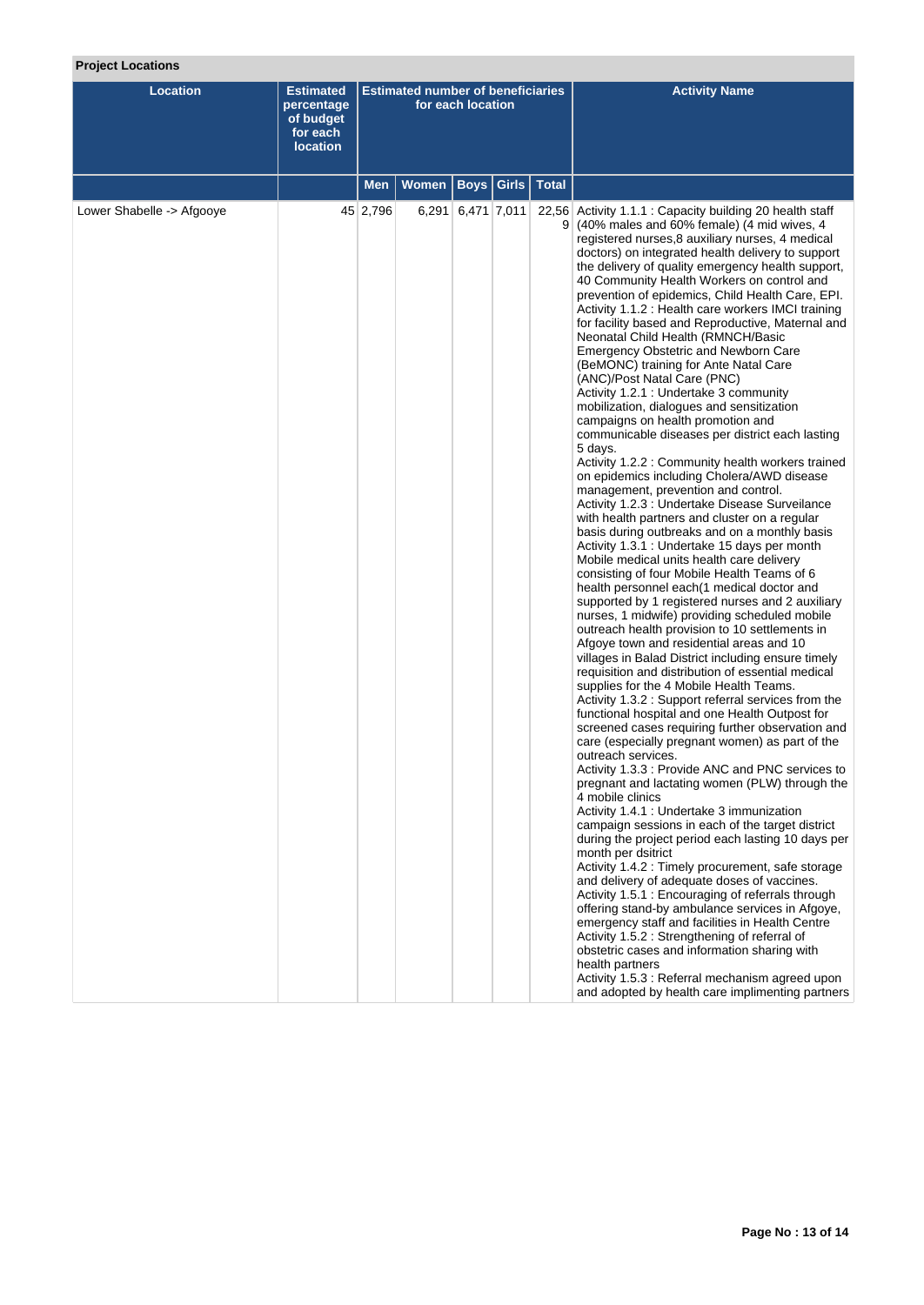# **Project Locations**

| Location                  | <b>Estimated</b><br>percentage<br>of budget<br>for each<br><b>location</b> | <b>Estimated number of beneficiaries</b><br>for each location |       |                   |                             | <b>Activity Name</b>                                                                                                                                                                                                                                                                                                                                                                                                                                                                                                                                                                                                                                                                                                                                                                                                                                                                                                                                                                                                                                                                                                                                                                                                                                                                                                                                                                                                                                                                                                                                                                                                                                                                                                                                                                                                                                                                                                                                                                                                                                                                                                                                                                                                                                                                                                                                                                                                                                                                                                                                                                                                                                                                                                               |
|---------------------------|----------------------------------------------------------------------------|---------------------------------------------------------------|-------|-------------------|-----------------------------|------------------------------------------------------------------------------------------------------------------------------------------------------------------------------------------------------------------------------------------------------------------------------------------------------------------------------------------------------------------------------------------------------------------------------------------------------------------------------------------------------------------------------------------------------------------------------------------------------------------------------------------------------------------------------------------------------------------------------------------------------------------------------------------------------------------------------------------------------------------------------------------------------------------------------------------------------------------------------------------------------------------------------------------------------------------------------------------------------------------------------------------------------------------------------------------------------------------------------------------------------------------------------------------------------------------------------------------------------------------------------------------------------------------------------------------------------------------------------------------------------------------------------------------------------------------------------------------------------------------------------------------------------------------------------------------------------------------------------------------------------------------------------------------------------------------------------------------------------------------------------------------------------------------------------------------------------------------------------------------------------------------------------------------------------------------------------------------------------------------------------------------------------------------------------------------------------------------------------------------------------------------------------------------------------------------------------------------------------------------------------------------------------------------------------------------------------------------------------------------------------------------------------------------------------------------------------------------------------------------------------------------------------------------------------------------------------------------------------------|
|                           |                                                                            | <b>Men</b>                                                    | Women |                   | <b>Boys   Girls   Total</b> |                                                                                                                                                                                                                                                                                                                                                                                                                                                                                                                                                                                                                                                                                                                                                                                                                                                                                                                                                                                                                                                                                                                                                                                                                                                                                                                                                                                                                                                                                                                                                                                                                                                                                                                                                                                                                                                                                                                                                                                                                                                                                                                                                                                                                                                                                                                                                                                                                                                                                                                                                                                                                                                                                                                                    |
| Lower Shabelle -> Afgooye |                                                                            | 45 2,796                                                      |       | 6,291 6,471 7,011 |                             | 22,56 Activity 1.1.1 : Capacity building 20 health staff<br>9 (40% males and 60% female) (4 mid wives, 4<br>registered nurses, 8 auxiliary nurses, 4 medical<br>doctors) on integrated health delivery to support<br>the delivery of quality emergency health support,<br>40 Community Health Workers on control and<br>prevention of epidemics, Child Health Care, EPI.<br>Activity 1.1.2 : Health care workers IMCI training<br>for facility based and Reproductive, Maternal and<br>Neonatal Child Health (RMNCH/Basic<br><b>Emergency Obstetric and Newborn Care</b><br>(BeMONC) training for Ante Natal Care<br>(ANC)/Post Natal Care (PNC)<br>Activity 1.2.1 : Undertake 3 community<br>mobilization, dialogues and sensitization<br>campaigns on health promotion and<br>communicable diseases per district each lasting<br>5 days.<br>Activity 1.2.2 : Community health workers trained<br>on epidemics including Cholera/AWD disease<br>management, prevention and control.<br>Activity 1.2.3 : Undertake Disease Surveilance<br>with health partners and cluster on a regular<br>basis during outbreaks and on a monthly basis<br>Activity 1.3.1 : Undertake 15 days per month<br>Mobile medical units health care delivery<br>consisting of four Mobile Health Teams of 6<br>health personnel each(1 medical doctor and<br>supported by 1 registered nurses and 2 auxiliary<br>nurses, 1 midwife) providing scheduled mobile<br>outreach health provision to 10 settlements in<br>Afgoye town and residential areas and 10<br>villages in Balad District including ensure timely<br>requisition and distribution of essential medical<br>supplies for the 4 Mobile Health Teams.<br>Activity 1.3.2 : Support referral services from the<br>functional hospital and one Health Outpost for<br>screened cases requiring further observation and<br>care (especially pregnant women) as part of the<br>outreach services.<br>Activity 1.3.3 : Provide ANC and PNC services to<br>pregnant and lactating women (PLW) through the<br>4 mobile clinics<br>Activity 1.4.1 : Undertake 3 immunization<br>campaign sessions in each of the target district<br>during the project period each lasting 10 days per<br>month per dsitrict<br>Activity 1.4.2 : Timely procurement, safe storage<br>and delivery of adequate doses of vaccines.<br>Activity 1.5.1 : Encouraging of referrals through<br>offering stand-by ambulance services in Afgoye,<br>emergency staff and facilities in Health Centre<br>Activity 1.5.2 : Strengthening of referral of<br>obstetric cases and information sharing with<br>health partners<br>Activity 1.5.3 : Referral mechanism agreed upon<br>and adopted by health care implimenting partners |